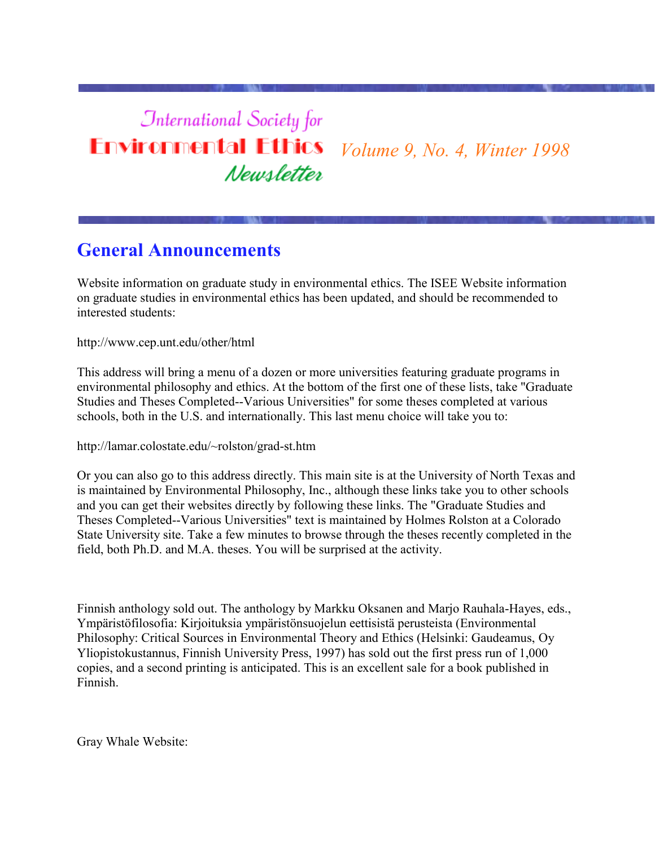## **International Society for Environmental Ethics** *Volume 9, No. 4, Winter 1998* Newsletter

# **General Announcements**

Website information on graduate study in environmental ethics. The ISEE Website information on graduate studies in environmental ethics has been updated, and should be recommended to interested students:

http://www.cep.unt.edu/other/html

This address will bring a menu of a dozen or more universities featuring graduate programs in environmental philosophy and ethics. At the bottom of the first one of these lists, take "Graduate Studies and Theses Completed--Various Universities" for some theses completed at various schools, both in the U.S. and internationally. This last menu choice will take you to:

http://lamar.colostate.edu/~rolston/grad-st.htm

Or you can also go to this address directly. This main site is at the University of North Texas and is maintained by Environmental Philosophy, Inc., although these links take you to other schools and you can get their websites directly by following these links. The "Graduate Studies and Theses Completed--Various Universities" text is maintained by Holmes Rolston at a Colorado State University site. Take a few minutes to browse through the theses recently completed in the field, both Ph.D. and M.A. theses. You will be surprised at the activity.

Finnish anthology sold out. The anthology by Markku Oksanen and Marjo Rauhala-Hayes, eds., Ympäristöfilosofia: Kirjoituksia ympäristönsuojelun eettisistä perusteista (Environmental Philosophy: Critical Sources in Environmental Theory and Ethics (Helsinki: Gaudeamus, Oy Yliopistokustannus, Finnish University Press, 1997) has sold out the first press run of 1,000 copies, and a second printing is anticipated. This is an excellent sale for a book published in Finnish.

Gray Whale Website: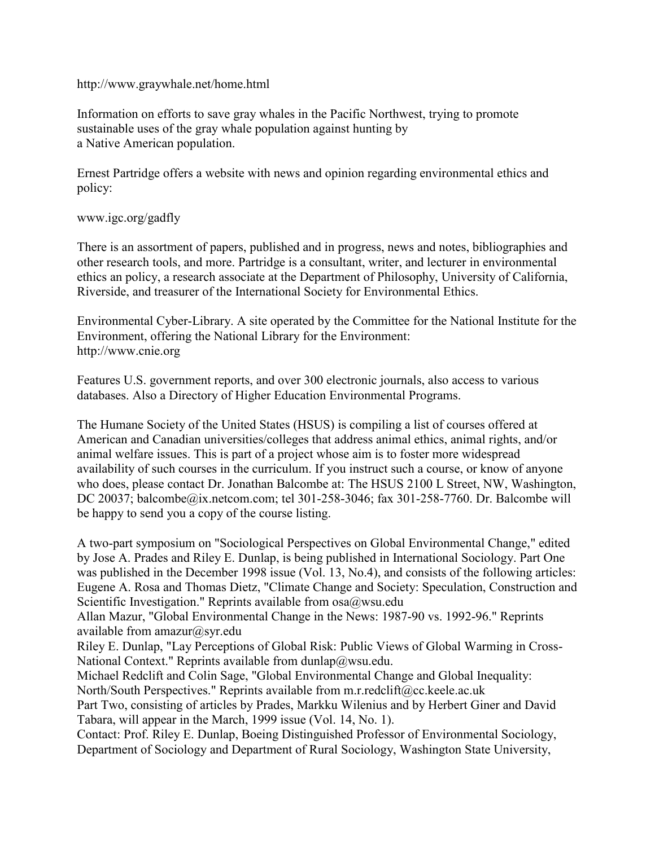#### http://www.graywhale.net/home.html

Information on efforts to save gray whales in the Pacific Northwest, trying to promote sustainable uses of the gray whale population against hunting by a Native American population.

Ernest Partridge offers a website with news and opinion regarding environmental ethics and policy:

#### www.igc.org/gadfly

There is an assortment of papers, published and in progress, news and notes, bibliographies and other research tools, and more. Partridge is a consultant, writer, and lecturer in environmental ethics an policy, a research associate at the Department of Philosophy, University of California, Riverside, and treasurer of the International Society for Environmental Ethics.

Environmental Cyber-Library. A site operated by the Committee for the National Institute for the Environment, offering the National Library for the Environment: http://www.cnie.org

Features U.S. government reports, and over 300 electronic journals, also access to various databases. Also a Directory of Higher Education Environmental Programs.

The Humane Society of the United States (HSUS) is compiling a list of courses offered at American and Canadian universities/colleges that address animal ethics, animal rights, and/or animal welfare issues. This is part of a project whose aim is to foster more widespread availability of such courses in the curriculum. If you instruct such a course, or know of anyone who does, please contact Dr. Jonathan Balcombe at: The HSUS 2100 L Street, NW, Washington, DC 20037; balcombe@ix.netcom.com; tel 301-258-3046; fax 301-258-7760. Dr. Balcombe will be happy to send you a copy of the course listing.

A two-part symposium on "Sociological Perspectives on Global Environmental Change," edited by Jose A. Prades and Riley E. Dunlap, is being published in International Sociology. Part One was published in the December 1998 issue (Vol. 13, No.4), and consists of the following articles: Eugene A. Rosa and Thomas Dietz, "Climate Change and Society: Speculation, Construction and Scientific Investigation." Reprints available from  $osa@wsu.edu$ 

Allan Mazur, "Global Environmental Change in the News: 1987-90 vs. 1992-96." Reprints available from amazur@syr.edu

Riley E. Dunlap, "Lay Perceptions of Global Risk: Public Views of Global Warming in Cross-National Context." Reprints available from dunlap@wsu.edu.

Michael Redclift and Colin Sage, "Global Environmental Change and Global Inequality: North/South Perspectives." Reprints available from m.r.redclift@cc.keele.ac.uk

Part Two, consisting of articles by Prades, Markku Wilenius and by Herbert Giner and David Tabara, will appear in the March, 1999 issue (Vol. 14, No. 1).

Contact: Prof. Riley E. Dunlap, Boeing Distinguished Professor of Environmental Sociology, Department of Sociology and Department of Rural Sociology, Washington State University,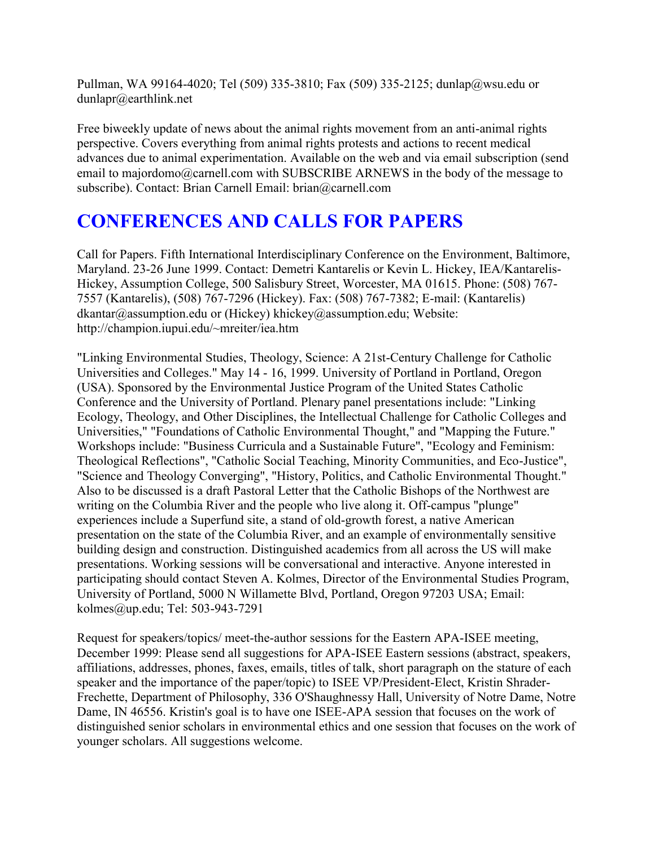Pullman, WA 99164-4020; Tel (509) 335-3810; Fax (509) 335-2125; dunlap@wsu.edu or dunlapr@earthlink.net

Free biweekly update of news about the animal rights movement from an anti-animal rights perspective. Covers everything from animal rights protests and actions to recent medical advances due to animal experimentation. Available on the web and via email subscription (send email to majordomo@carnell.com with SUBSCRIBE ARNEWS in the body of the message to subscribe). Contact: Brian Carnell Email: brian@carnell.com

# **CONFERENCES AND CALLS FOR PAPERS**

Call for Papers. Fifth International Interdisciplinary Conference on the Environment, Baltimore, Maryland. 23-26 June 1999. Contact: Demetri Kantarelis or Kevin L. Hickey, IEA/Kantarelis-Hickey, Assumption College, 500 Salisbury Street, Worcester, MA 01615. Phone: (508) 767- 7557 (Kantarelis), (508) 767-7296 (Hickey). Fax: (508) 767-7382; E-mail: (Kantarelis) dkantar@assumption.edu or (Hickey) khickey@assumption.edu; Website: http://champion.iupui.edu/~mreiter/iea.htm

"Linking Environmental Studies, Theology, Science: A 21st-Century Challenge for Catholic Universities and Colleges." May 14 - 16, 1999. University of Portland in Portland, Oregon (USA). Sponsored by the Environmental Justice Program of the United States Catholic Conference and the University of Portland. Plenary panel presentations include: "Linking Ecology, Theology, and Other Disciplines, the Intellectual Challenge for Catholic Colleges and Universities," "Foundations of Catholic Environmental Thought," and "Mapping the Future." Workshops include: "Business Curricula and a Sustainable Future", "Ecology and Feminism: Theological Reflections", "Catholic Social Teaching, Minority Communities, and Eco-Justice", "Science and Theology Converging", "History, Politics, and Catholic Environmental Thought." Also to be discussed is a draft Pastoral Letter that the Catholic Bishops of the Northwest are writing on the Columbia River and the people who live along it. Off-campus "plunge" experiences include a Superfund site, a stand of old-growth forest, a native American presentation on the state of the Columbia River, and an example of environmentally sensitive building design and construction. Distinguished academics from all across the US will make presentations. Working sessions will be conversational and interactive. Anyone interested in participating should contact Steven A. Kolmes, Director of the Environmental Studies Program, University of Portland, 5000 N Willamette Blvd, Portland, Oregon 97203 USA; Email: kolmes@up.edu; Tel: 503-943-7291

Request for speakers/topics/ meet-the-author sessions for the Eastern APA-ISEE meeting, December 1999: Please send all suggestions for APA-ISEE Eastern sessions (abstract, speakers, affiliations, addresses, phones, faxes, emails, titles of talk, short paragraph on the stature of each speaker and the importance of the paper/topic) to ISEE VP/President-Elect, Kristin Shrader-Frechette, Department of Philosophy, 336 O'Shaughnessy Hall, University of Notre Dame, Notre Dame, IN 46556. Kristin's goal is to have one ISEE-APA session that focuses on the work of distinguished senior scholars in environmental ethics and one session that focuses on the work of younger scholars. All suggestions welcome.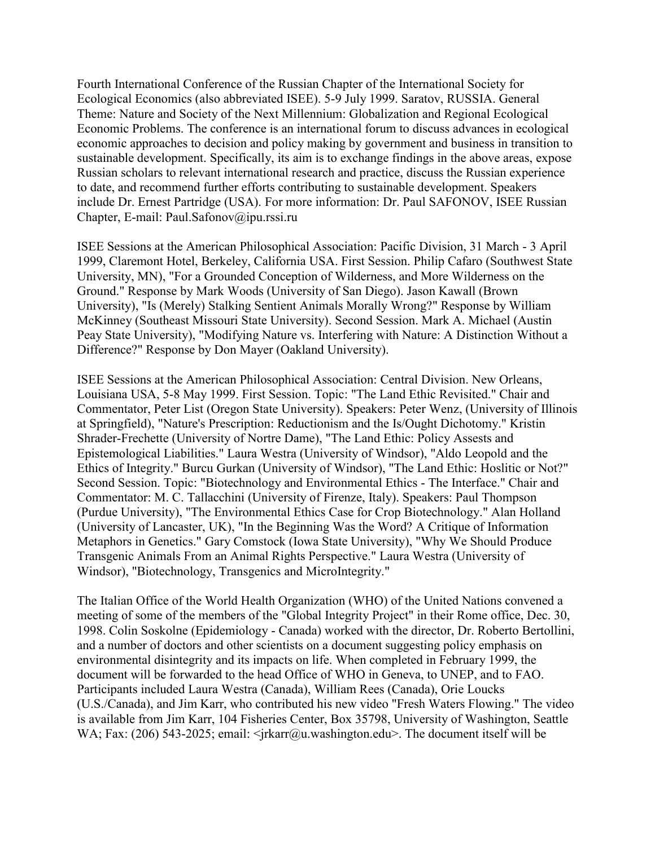Fourth International Conference of the Russian Chapter of the International Society for Ecological Economics (also abbreviated ISEE). 5-9 July 1999. Saratov, RUSSIA. General Theme: Nature and Society of the Next Millennium: Globalization and Regional Ecological Economic Problems. The conference is an international forum to discuss advances in ecological economic approaches to decision and policy making by government and business in transition to sustainable development. Specifically, its aim is to exchange findings in the above areas, expose Russian scholars to relevant international research and practice, discuss the Russian experience to date, and recommend further efforts contributing to sustainable development. Speakers include Dr. Ernest Partridge (USA). For more information: Dr. Paul SAFONOV, ISEE Russian Chapter, E-mail: Paul.Safonov@ipu.rssi.ru

ISEE Sessions at the American Philosophical Association: Pacific Division, 31 March - 3 April 1999, Claremont Hotel, Berkeley, California USA. First Session. Philip Cafaro (Southwest State University, MN), "For a Grounded Conception of Wilderness, and More Wilderness on the Ground." Response by Mark Woods (University of San Diego). Jason Kawall (Brown University), "Is (Merely) Stalking Sentient Animals Morally Wrong?" Response by William McKinney (Southeast Missouri State University). Second Session. Mark A. Michael (Austin Peay State University), "Modifying Nature vs. Interfering with Nature: A Distinction Without a Difference?" Response by Don Mayer (Oakland University).

ISEE Sessions at the American Philosophical Association: Central Division. New Orleans, Louisiana USA, 5-8 May 1999. First Session. Topic: "The Land Ethic Revisited." Chair and Commentator, Peter List (Oregon State University). Speakers: Peter Wenz, (University of Illinois at Springfield), "Nature's Prescription: Reductionism and the Is/Ought Dichotomy." Kristin Shrader-Frechette (University of Nortre Dame), "The Land Ethic: Policy Assests and Epistemological Liabilities." Laura Westra (University of Windsor), "Aldo Leopold and the Ethics of Integrity." Burcu Gurkan (University of Windsor), "The Land Ethic: Hoslitic or Not?" Second Session. Topic: "Biotechnology and Environmental Ethics - The Interface." Chair and Commentator: M. C. Tallacchini (University of Firenze, Italy). Speakers: Paul Thompson (Purdue University), "The Environmental Ethics Case for Crop Biotechnology." Alan Holland (University of Lancaster, UK), "In the Beginning Was the Word? A Critique of Information Metaphors in Genetics." Gary Comstock (Iowa State University), "Why We Should Produce Transgenic Animals From an Animal Rights Perspective." Laura Westra (University of Windsor), "Biotechnology, Transgenics and MicroIntegrity."

The Italian Office of the World Health Organization (WHO) of the United Nations convened a meeting of some of the members of the "Global Integrity Project" in their Rome office, Dec. 30, 1998. Colin Soskolne (Epidemiology - Canada) worked with the director, Dr. Roberto Bertollini, and a number of doctors and other scientists on a document suggesting policy emphasis on environmental disintegrity and its impacts on life. When completed in February 1999, the document will be forwarded to the head Office of WHO in Geneva, to UNEP, and to FAO. Participants included Laura Westra (Canada), William Rees (Canada), Orie Loucks (U.S./Canada), and Jim Karr, who contributed his new video "Fresh Waters Flowing." The video is available from Jim Karr, 104 Fisheries Center, Box 35798, University of Washington, Seattle WA; Fax: (206) 543-2025; email:  $\langle$ jrkarr@u.washington.edu>. The document itself will be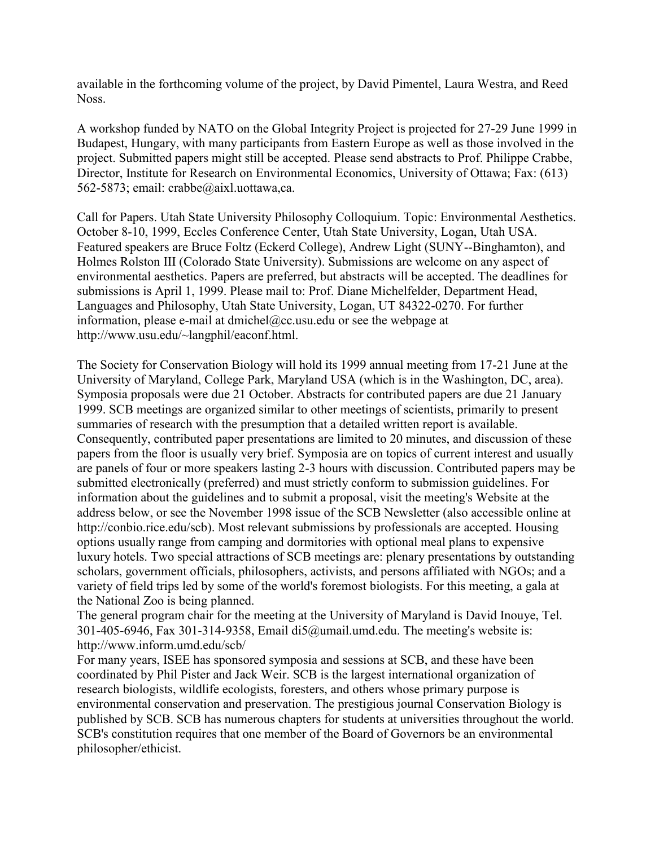available in the forthcoming volume of the project, by David Pimentel, Laura Westra, and Reed Noss.

A workshop funded by NATO on the Global Integrity Project is projected for 27-29 June 1999 in Budapest, Hungary, with many participants from Eastern Europe as well as those involved in the project. Submitted papers might still be accepted. Please send abstracts to Prof. Philippe Crabbe, Director, Institute for Research on Environmental Economics, University of Ottawa; Fax: (613) 562-5873; email: crabbe@aixl.uottawa,ca.

Call for Papers. Utah State University Philosophy Colloquium. Topic: Environmental Aesthetics. October 8-10, 1999, Eccles Conference Center, Utah State University, Logan, Utah USA. Featured speakers are Bruce Foltz (Eckerd College), Andrew Light (SUNY--Binghamton), and Holmes Rolston III (Colorado State University). Submissions are welcome on any aspect of environmental aesthetics. Papers are preferred, but abstracts will be accepted. The deadlines for submissions is April 1, 1999. Please mail to: Prof. Diane Michelfelder, Department Head, Languages and Philosophy, Utah State University, Logan, UT 84322-0270. For further information, please e-mail at dmichel@cc.usu.edu or see the webpage at http://www.usu.edu/~langphil/eaconf.html.

The Society for Conservation Biology will hold its 1999 annual meeting from 17-21 June at the University of Maryland, College Park, Maryland USA (which is in the Washington, DC, area). Symposia proposals were due 21 October. Abstracts for contributed papers are due 21 January 1999. SCB meetings are organized similar to other meetings of scientists, primarily to present summaries of research with the presumption that a detailed written report is available. Consequently, contributed paper presentations are limited to 20 minutes, and discussion of these papers from the floor is usually very brief. Symposia are on topics of current interest and usually are panels of four or more speakers lasting 2-3 hours with discussion. Contributed papers may be submitted electronically (preferred) and must strictly conform to submission guidelines. For information about the guidelines and to submit a proposal, visit the meeting's Website at the address below, or see the November 1998 issue of the SCB Newsletter (also accessible online at http://conbio.rice.edu/scb). Most relevant submissions by professionals are accepted. Housing options usually range from camping and dormitories with optional meal plans to expensive luxury hotels. Two special attractions of SCB meetings are: plenary presentations by outstanding scholars, government officials, philosophers, activists, and persons affiliated with NGOs; and a variety of field trips led by some of the world's foremost biologists. For this meeting, a gala at the National Zoo is being planned.

The general program chair for the meeting at the University of Maryland is David Inouye, Tel. 301-405-6946, Fax 301-314-9358, Email di5@umail.umd.edu. The meeting's website is: http://www.inform.umd.edu/scb/

For many years, ISEE has sponsored symposia and sessions at SCB, and these have been coordinated by Phil Pister and Jack Weir. SCB is the largest international organization of research biologists, wildlife ecologists, foresters, and others whose primary purpose is environmental conservation and preservation. The prestigious journal Conservation Biology is published by SCB. SCB has numerous chapters for students at universities throughout the world. SCB's constitution requires that one member of the Board of Governors be an environmental philosopher/ethicist.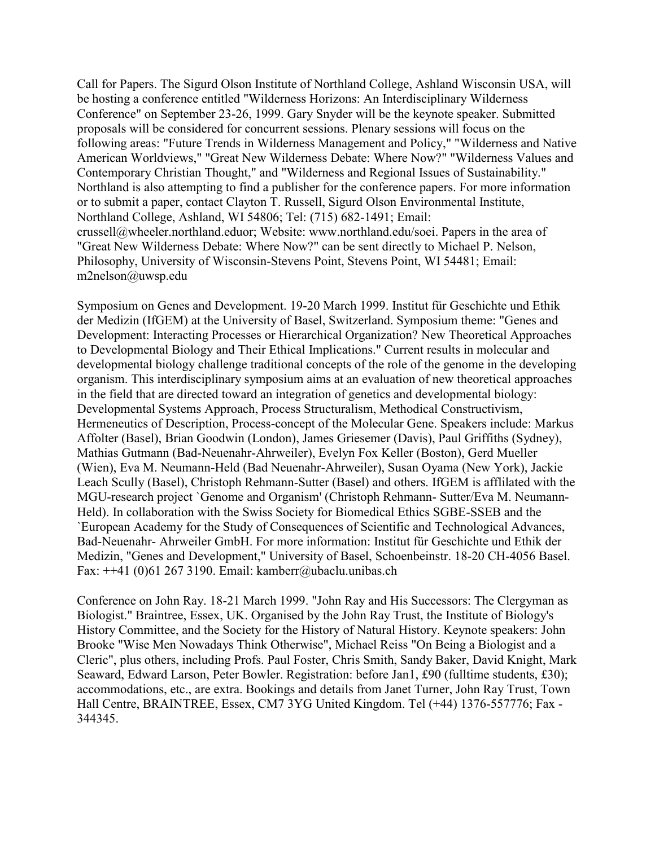Call for Papers. The Sigurd Olson Institute of Northland College, Ashland Wisconsin USA, will be hosting a conference entitled "Wilderness Horizons: An Interdisciplinary Wilderness Conference" on September 23-26, 1999. Gary Snyder will be the keynote speaker. Submitted proposals will be considered for concurrent sessions. Plenary sessions will focus on the following areas: "Future Trends in Wilderness Management and Policy," "Wilderness and Native American Worldviews," "Great New Wilderness Debate: Where Now?" "Wilderness Values and Contemporary Christian Thought," and "Wilderness and Regional Issues of Sustainability." Northland is also attempting to find a publisher for the conference papers. For more information or to submit a paper, contact Clayton T. Russell, Sigurd Olson Environmental Institute, Northland College, Ashland, WI 54806; Tel: (715) 682-1491; Email: crussell@wheeler.northland.eduor; Website: www.northland.edu/soei. Papers in the area of "Great New Wilderness Debate: Where Now?" can be sent directly to Michael P. Nelson, Philosophy, University of Wisconsin-Stevens Point, Stevens Point, WI 54481; Email: m2nelson@uwsp.edu

Symposium on Genes and Development. 19-20 March 1999. Institut für Geschichte und Ethik der Medizin (IfGEM) at the University of Basel, Switzerland. Symposium theme: "Genes and Development: Interacting Processes or Hierarchical Organization? New Theoretical Approaches to Developmental Biology and Their Ethical Implications." Current results in molecular and developmental biology challenge traditional concepts of the role of the genome in the developing organism. This interdisciplinary symposium aims at an evaluation of new theoretical approaches in the field that are directed toward an integration of genetics and developmental biology: Developmental Systems Approach, Process Structuralism, Methodical Constructivism, Hermeneutics of Description, Process-concept of the Molecular Gene. Speakers include: Markus Affolter (Basel), Brian Goodwin (London), James Griesemer (Davis), Paul Griffiths (Sydney), Mathias Gutmann (Bad-Neuenahr-Ahrweiler), Evelyn Fox Keller (Boston), Gerd Mueller (Wien), Eva M. Neumann-Held (Bad Neuenahr-Ahrweiler), Susan Oyama (New York), Jackie Leach Scully (Basel), Christoph Rehmann-Sutter (Basel) and others. IfGEM is afflilated with the MGU-research project `Genome and Organism' (Christoph Rehmann- Sutter/Eva M. Neumann-Held). In collaboration with the Swiss Society for Biomedical Ethics SGBE-SSEB and the `European Academy for the Study of Consequences of Scientific and Technological Advances, Bad-Neuenahr- Ahrweiler GmbH. For more information: Institut für Geschichte und Ethik der Medizin, "Genes and Development," University of Basel, Schoenbeinstr. 18-20 CH-4056 Basel. Fax:  $++41$  (0)61 267 3190. Email: kamberr@ubaclu.unibas.ch

Conference on John Ray. 18-21 March 1999. "John Ray and His Successors: The Clergyman as Biologist." Braintree, Essex, UK. Organised by the John Ray Trust, the Institute of Biology's History Committee, and the Society for the History of Natural History. Keynote speakers: John Brooke "Wise Men Nowadays Think Otherwise", Michael Reiss "On Being a Biologist and a Cleric", plus others, including Profs. Paul Foster, Chris Smith, Sandy Baker, David Knight, Mark Seaward, Edward Larson, Peter Bowler. Registration: before Jan1, £90 (fulltime students, £30); accommodations, etc., are extra. Bookings and details from Janet Turner, John Ray Trust, Town Hall Centre, BRAINTREE, Essex, CM7 3YG United Kingdom. Tel (+44) 1376-557776; Fax - 344345.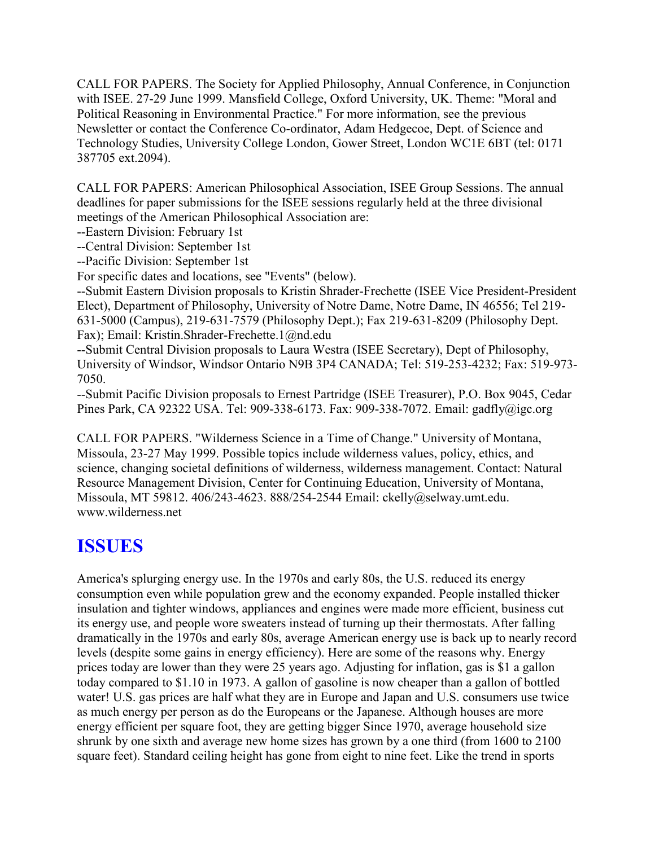CALL FOR PAPERS. The Society for Applied Philosophy, Annual Conference, in Conjunction with ISEE. 27-29 June 1999. Mansfield College, Oxford University, UK. Theme: "Moral and Political Reasoning in Environmental Practice." For more information, see the previous Newsletter or contact the Conference Co-ordinator, Adam Hedgecoe, Dept. of Science and Technology Studies, University College London, Gower Street, London WC1E 6BT (tel: 0171 387705 ext.2094).

CALL FOR PAPERS: American Philosophical Association, ISEE Group Sessions. The annual deadlines for paper submissions for the ISEE sessions regularly held at the three divisional meetings of the American Philosophical Association are:

--Eastern Division: February 1st

--Central Division: September 1st

--Pacific Division: September 1st

For specific dates and locations, see "Events" (below).

--Submit Eastern Division proposals to Kristin Shrader-Frechette (ISEE Vice President-President Elect), Department of Philosophy, University of Notre Dame, Notre Dame, IN 46556; Tel 219- 631-5000 (Campus), 219-631-7579 (Philosophy Dept.); Fax 219-631-8209 (Philosophy Dept. Fax); Email: Kristin.Shrader-Frechette.1@nd.edu

--Submit Central Division proposals to Laura Westra (ISEE Secretary), Dept of Philosophy, University of Windsor, Windsor Ontario N9B 3P4 CANADA; Tel: 519-253-4232; Fax: 519-973- 7050.

--Submit Pacific Division proposals to Ernest Partridge (ISEE Treasurer), P.O. Box 9045, Cedar Pines Park, CA 92322 USA. Tel: 909-338-6173. Fax: 909-338-7072. Email: gadfly@igc.org

CALL FOR PAPERS. "Wilderness Science in a Time of Change." University of Montana, Missoula, 23-27 May 1999. Possible topics include wilderness values, policy, ethics, and science, changing societal definitions of wilderness, wilderness management. Contact: Natural Resource Management Division, Center for Continuing Education, University of Montana, Missoula, MT 59812. 406/243-4623. 888/254-2544 Email: ckelly@selway.umt.edu. www.wilderness.net

## **ISSUES**

America's splurging energy use. In the 1970s and early 80s, the U.S. reduced its energy consumption even while population grew and the economy expanded. People installed thicker insulation and tighter windows, appliances and engines were made more efficient, business cut its energy use, and people wore sweaters instead of turning up their thermostats. After falling dramatically in the 1970s and early 80s, average American energy use is back up to nearly record levels (despite some gains in energy efficiency). Here are some of the reasons why. Energy prices today are lower than they were 25 years ago. Adjusting for inflation, gas is \$1 a gallon today compared to \$1.10 in 1973. A gallon of gasoline is now cheaper than a gallon of bottled water! U.S. gas prices are half what they are in Europe and Japan and U.S. consumers use twice as much energy per person as do the Europeans or the Japanese. Although houses are more energy efficient per square foot, they are getting bigger Since 1970, average household size shrunk by one sixth and average new home sizes has grown by a one third (from 1600 to 2100 square feet). Standard ceiling height has gone from eight to nine feet. Like the trend in sports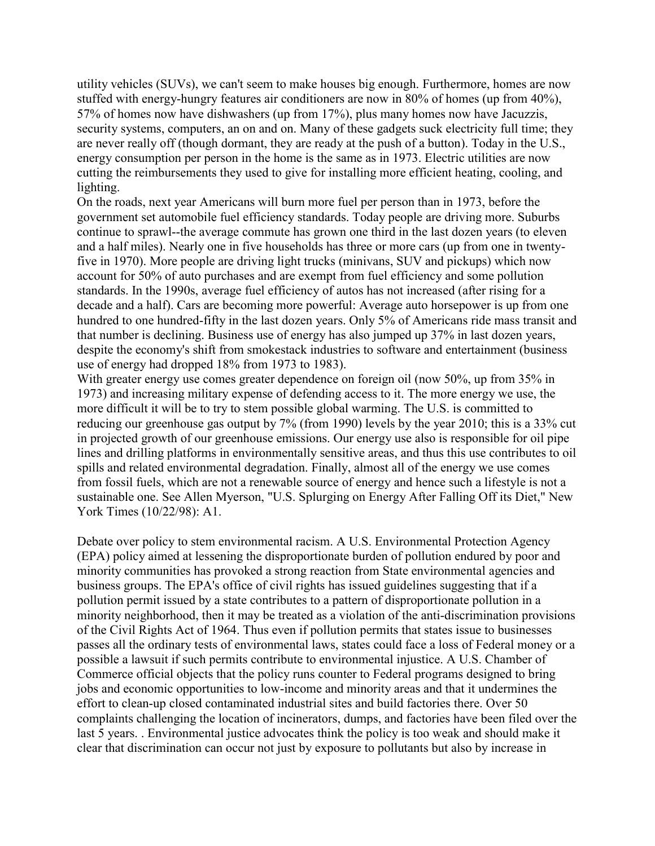utility vehicles (SUVs), we can't seem to make houses big enough. Furthermore, homes are now stuffed with energy-hungry features air conditioners are now in 80% of homes (up from 40%), 57% of homes now have dishwashers (up from 17%), plus many homes now have Jacuzzis, security systems, computers, an on and on. Many of these gadgets suck electricity full time; they are never really off (though dormant, they are ready at the push of a button). Today in the U.S., energy consumption per person in the home is the same as in 1973. Electric utilities are now cutting the reimbursements they used to give for installing more efficient heating, cooling, and lighting.

On the roads, next year Americans will burn more fuel per person than in 1973, before the government set automobile fuel efficiency standards. Today people are driving more. Suburbs continue to sprawl--the average commute has grown one third in the last dozen years (to eleven and a half miles). Nearly one in five households has three or more cars (up from one in twentyfive in 1970). More people are driving light trucks (minivans, SUV and pickups) which now account for 50% of auto purchases and are exempt from fuel efficiency and some pollution standards. In the 1990s, average fuel efficiency of autos has not increased (after rising for a decade and a half). Cars are becoming more powerful: Average auto horsepower is up from one hundred to one hundred-fifty in the last dozen years. Only 5% of Americans ride mass transit and that number is declining. Business use of energy has also jumped up 37% in last dozen years, despite the economy's shift from smokestack industries to software and entertainment (business use of energy had dropped 18% from 1973 to 1983).

With greater energy use comes greater dependence on foreign oil (now 50%, up from 35% in 1973) and increasing military expense of defending access to it. The more energy we use, the more difficult it will be to try to stem possible global warming. The U.S. is committed to reducing our greenhouse gas output by 7% (from 1990) levels by the year 2010; this is a 33% cut in projected growth of our greenhouse emissions. Our energy use also is responsible for oil pipe lines and drilling platforms in environmentally sensitive areas, and thus this use contributes to oil spills and related environmental degradation. Finally, almost all of the energy we use comes from fossil fuels, which are not a renewable source of energy and hence such a lifestyle is not a sustainable one. See Allen Myerson, "U.S. Splurging on Energy After Falling Off its Diet," New York Times (10/22/98): A1.

Debate over policy to stem environmental racism. A U.S. Environmental Protection Agency (EPA) policy aimed at lessening the disproportionate burden of pollution endured by poor and minority communities has provoked a strong reaction from State environmental agencies and business groups. The EPA's office of civil rights has issued guidelines suggesting that if a pollution permit issued by a state contributes to a pattern of disproportionate pollution in a minority neighborhood, then it may be treated as a violation of the anti-discrimination provisions of the Civil Rights Act of 1964. Thus even if pollution permits that states issue to businesses passes all the ordinary tests of environmental laws, states could face a loss of Federal money or a possible a lawsuit if such permits contribute to environmental injustice. A U.S. Chamber of Commerce official objects that the policy runs counter to Federal programs designed to bring jobs and economic opportunities to low-income and minority areas and that it undermines the effort to clean-up closed contaminated industrial sites and build factories there. Over 50 complaints challenging the location of incinerators, dumps, and factories have been filed over the last 5 years. . Environmental justice advocates think the policy is too weak and should make it clear that discrimination can occur not just by exposure to pollutants but also by increase in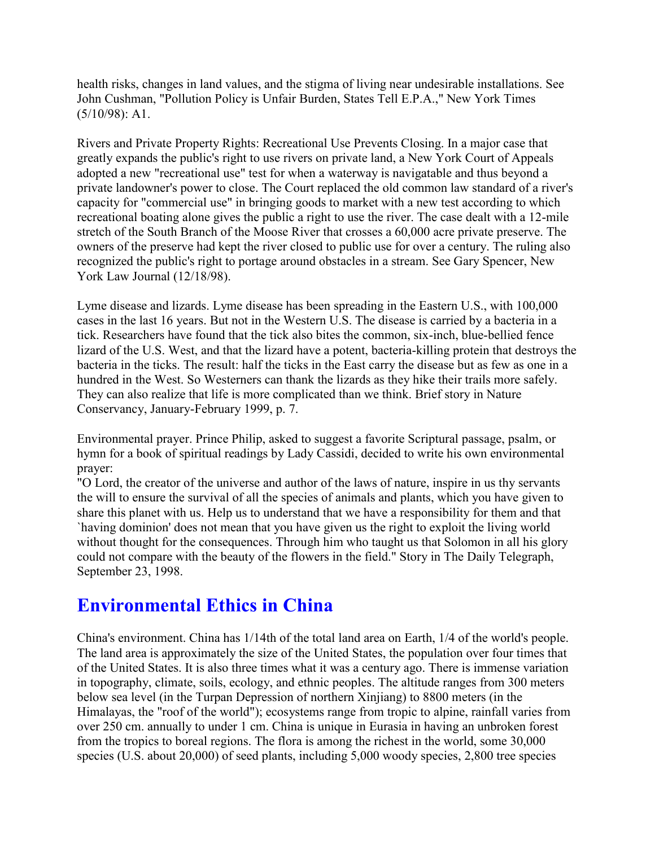health risks, changes in land values, and the stigma of living near undesirable installations. See John Cushman, "Pollution Policy is Unfair Burden, States Tell E.P.A.," New York Times (5/10/98): A1.

Rivers and Private Property Rights: Recreational Use Prevents Closing. In a major case that greatly expands the public's right to use rivers on private land, a New York Court of Appeals adopted a new "recreational use" test for when a waterway is navigatable and thus beyond a private landowner's power to close. The Court replaced the old common law standard of a river's capacity for "commercial use" in bringing goods to market with a new test according to which recreational boating alone gives the public a right to use the river. The case dealt with a 12-mile stretch of the South Branch of the Moose River that crosses a 60,000 acre private preserve. The owners of the preserve had kept the river closed to public use for over a century. The ruling also recognized the public's right to portage around obstacles in a stream. See Gary Spencer, New York Law Journal (12/18/98).

Lyme disease and lizards. Lyme disease has been spreading in the Eastern U.S., with 100,000 cases in the last 16 years. But not in the Western U.S. The disease is carried by a bacteria in a tick. Researchers have found that the tick also bites the common, six-inch, blue-bellied fence lizard of the U.S. West, and that the lizard have a potent, bacteria-killing protein that destroys the bacteria in the ticks. The result: half the ticks in the East carry the disease but as few as one in a hundred in the West. So Westerners can thank the lizards as they hike their trails more safely. They can also realize that life is more complicated than we think. Brief story in Nature Conservancy, January-February 1999, p. 7.

Environmental prayer. Prince Philip, asked to suggest a favorite Scriptural passage, psalm, or hymn for a book of spiritual readings by Lady Cassidi, decided to write his own environmental prayer:

"O Lord, the creator of the universe and author of the laws of nature, inspire in us thy servants the will to ensure the survival of all the species of animals and plants, which you have given to share this planet with us. Help us to understand that we have a responsibility for them and that `having dominion' does not mean that you have given us the right to exploit the living world without thought for the consequences. Through him who taught us that Solomon in all his glory could not compare with the beauty of the flowers in the field." Story in The Daily Telegraph, September 23, 1998.

# **Environmental Ethics in China**

China's environment. China has 1/14th of the total land area on Earth, 1/4 of the world's people. The land area is approximately the size of the United States, the population over four times that of the United States. It is also three times what it was a century ago. There is immense variation in topography, climate, soils, ecology, and ethnic peoples. The altitude ranges from 300 meters below sea level (in the Turpan Depression of northern Xinjiang) to 8800 meters (in the Himalayas, the "roof of the world"); ecosystems range from tropic to alpine, rainfall varies from over 250 cm. annually to under 1 cm. China is unique in Eurasia in having an unbroken forest from the tropics to boreal regions. The flora is among the richest in the world, some 30,000 species (U.S. about 20,000) of seed plants, including 5,000 woody species, 2,800 tree species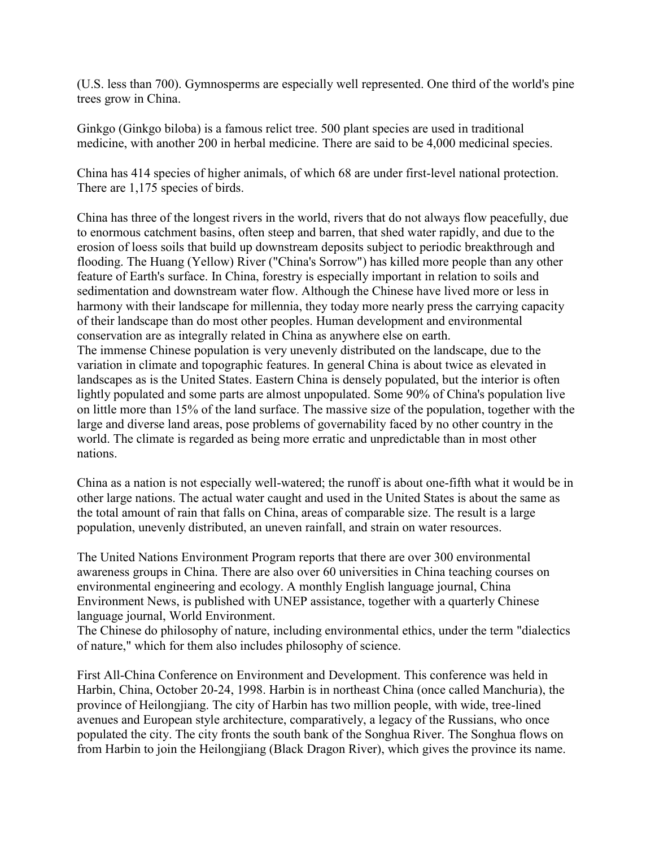(U.S. less than 700). Gymnosperms are especially well represented. One third of the world's pine trees grow in China.

Ginkgo (Ginkgo biloba) is a famous relict tree. 500 plant species are used in traditional medicine, with another 200 in herbal medicine. There are said to be 4,000 medicinal species.

China has 414 species of higher animals, of which 68 are under first-level national protection. There are 1,175 species of birds.

China has three of the longest rivers in the world, rivers that do not always flow peacefully, due to enormous catchment basins, often steep and barren, that shed water rapidly, and due to the erosion of loess soils that build up downstream deposits subject to periodic breakthrough and flooding. The Huang (Yellow) River ("China's Sorrow") has killed more people than any other feature of Earth's surface. In China, forestry is especially important in relation to soils and sedimentation and downstream water flow. Although the Chinese have lived more or less in harmony with their landscape for millennia, they today more nearly press the carrying capacity of their landscape than do most other peoples. Human development and environmental conservation are as integrally related in China as anywhere else on earth. The immense Chinese population is very unevenly distributed on the landscape, due to the variation in climate and topographic features. In general China is about twice as elevated in landscapes as is the United States. Eastern China is densely populated, but the interior is often lightly populated and some parts are almost unpopulated. Some 90% of China's population live on little more than 15% of the land surface. The massive size of the population, together with the large and diverse land areas, pose problems of governability faced by no other country in the world. The climate is regarded as being more erratic and unpredictable than in most other nations.

China as a nation is not especially well-watered; the runoff is about one-fifth what it would be in other large nations. The actual water caught and used in the United States is about the same as the total amount of rain that falls on China, areas of comparable size. The result is a large population, unevenly distributed, an uneven rainfall, and strain on water resources.

The United Nations Environment Program reports that there are over 300 environmental awareness groups in China. There are also over 60 universities in China teaching courses on environmental engineering and ecology. A monthly English language journal, China Environment News, is published with UNEP assistance, together with a quarterly Chinese language journal, World Environment.

The Chinese do philosophy of nature, including environmental ethics, under the term "dialectics of nature," which for them also includes philosophy of science.

First All-China Conference on Environment and Development. This conference was held in Harbin, China, October 20-24, 1998. Harbin is in northeast China (once called Manchuria), the province of Heilongjiang. The city of Harbin has two million people, with wide, tree-lined avenues and European style architecture, comparatively, a legacy of the Russians, who once populated the city. The city fronts the south bank of the Songhua River. The Songhua flows on from Harbin to join the Heilongjiang (Black Dragon River), which gives the province its name.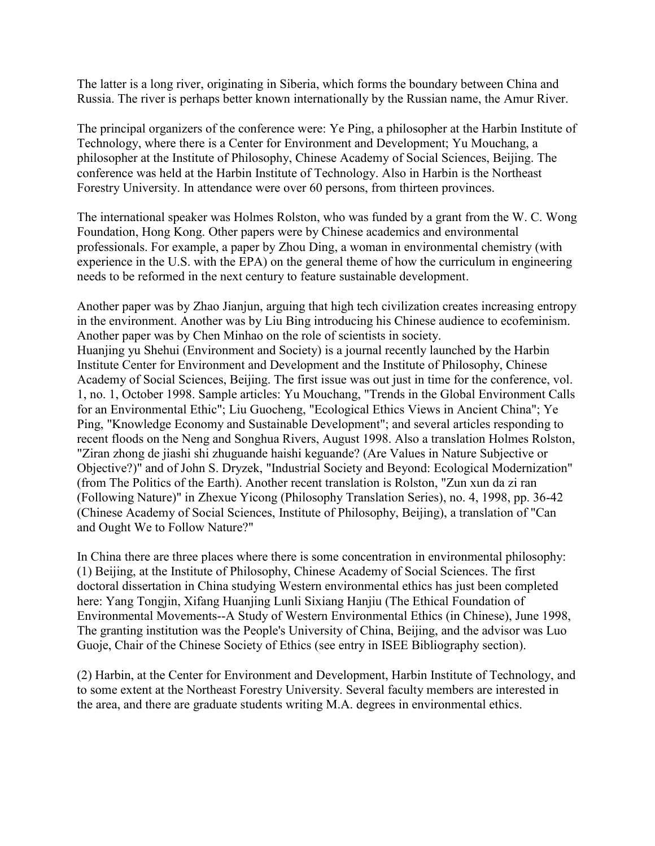The latter is a long river, originating in Siberia, which forms the boundary between China and Russia. The river is perhaps better known internationally by the Russian name, the Amur River.

The principal organizers of the conference were: Ye Ping, a philosopher at the Harbin Institute of Technology, where there is a Center for Environment and Development; Yu Mouchang, a philosopher at the Institute of Philosophy, Chinese Academy of Social Sciences, Beijing. The conference was held at the Harbin Institute of Technology. Also in Harbin is the Northeast Forestry University. In attendance were over 60 persons, from thirteen provinces.

The international speaker was Holmes Rolston, who was funded by a grant from the W. C. Wong Foundation, Hong Kong. Other papers were by Chinese academics and environmental professionals. For example, a paper by Zhou Ding, a woman in environmental chemistry (with experience in the U.S. with the EPA) on the general theme of how the curriculum in engineering needs to be reformed in the next century to feature sustainable development.

Another paper was by Zhao Jianjun, arguing that high tech civilization creates increasing entropy in the environment. Another was by Liu Bing introducing his Chinese audience to ecofeminism. Another paper was by Chen Minhao on the role of scientists in society. Huanjing yu Shehui (Environment and Society) is a journal recently launched by the Harbin Institute Center for Environment and Development and the Institute of Philosophy, Chinese Academy of Social Sciences, Beijing. The first issue was out just in time for the conference, vol. 1, no. 1, October 1998. Sample articles: Yu Mouchang, "Trends in the Global Environment Calls for an Environmental Ethic"; Liu Guocheng, "Ecological Ethics Views in Ancient China"; Ye Ping, "Knowledge Economy and Sustainable Development"; and several articles responding to recent floods on the Neng and Songhua Rivers, August 1998. Also a translation Holmes Rolston, "Ziran zhong de jiashi shi zhuguande haishi keguande? (Are Values in Nature Subjective or Objective?)" and of John S. Dryzek, "Industrial Society and Beyond: Ecological Modernization" (from The Politics of the Earth). Another recent translation is Rolston, "Zun xun da zi ran (Following Nature)" in Zhexue Yicong (Philosophy Translation Series), no. 4, 1998, pp. 36-42 (Chinese Academy of Social Sciences, Institute of Philosophy, Beijing), a translation of "Can and Ought We to Follow Nature?"

In China there are three places where there is some concentration in environmental philosophy: (1) Beijing, at the Institute of Philosophy, Chinese Academy of Social Sciences. The first doctoral dissertation in China studying Western environmental ethics has just been completed here: Yang Tongjin, Xifang Huanjing Lunli Sixiang Hanjiu (The Ethical Foundation of Environmental Movements--A Study of Western Environmental Ethics (in Chinese), June 1998, The granting institution was the People's University of China, Beijing, and the advisor was Luo Guoje, Chair of the Chinese Society of Ethics (see entry in ISEE Bibliography section).

(2) Harbin, at the Center for Environment and Development, Harbin Institute of Technology, and to some extent at the Northeast Forestry University. Several faculty members are interested in the area, and there are graduate students writing M.A. degrees in environmental ethics.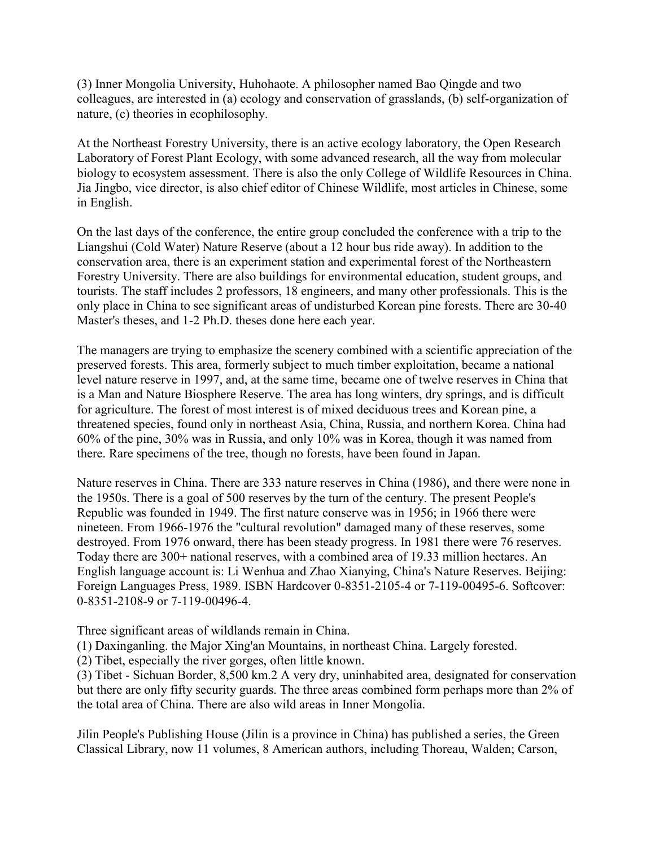(3) Inner Mongolia University, Huhohaote. A philosopher named Bao Qingde and two colleagues, are interested in (a) ecology and conservation of grasslands, (b) self-organization of nature, (c) theories in ecophilosophy.

At the Northeast Forestry University, there is an active ecology laboratory, the Open Research Laboratory of Forest Plant Ecology, with some advanced research, all the way from molecular biology to ecosystem assessment. There is also the only College of Wildlife Resources in China. Jia Jingbo, vice director, is also chief editor of Chinese Wildlife, most articles in Chinese, some in English.

On the last days of the conference, the entire group concluded the conference with a trip to the Liangshui (Cold Water) Nature Reserve (about a 12 hour bus ride away). In addition to the conservation area, there is an experiment station and experimental forest of the Northeastern Forestry University. There are also buildings for environmental education, student groups, and tourists. The staff includes 2 professors, 18 engineers, and many other professionals. This is the only place in China to see significant areas of undisturbed Korean pine forests. There are 30-40 Master's theses, and 1-2 Ph.D. theses done here each year.

The managers are trying to emphasize the scenery combined with a scientific appreciation of the preserved forests. This area, formerly subject to much timber exploitation, became a national level nature reserve in 1997, and, at the same time, became one of twelve reserves in China that is a Man and Nature Biosphere Reserve. The area has long winters, dry springs, and is difficult for agriculture. The forest of most interest is of mixed deciduous trees and Korean pine, a threatened species, found only in northeast Asia, China, Russia, and northern Korea. China had 60% of the pine, 30% was in Russia, and only 10% was in Korea, though it was named from there. Rare specimens of the tree, though no forests, have been found in Japan.

Nature reserves in China. There are 333 nature reserves in China (1986), and there were none in the 1950s. There is a goal of 500 reserves by the turn of the century. The present People's Republic was founded in 1949. The first nature conserve was in 1956; in 1966 there were nineteen. From 1966-1976 the "cultural revolution" damaged many of these reserves, some destroyed. From 1976 onward, there has been steady progress. In 1981 there were 76 reserves. Today there are 300+ national reserves, with a combined area of 19.33 million hectares. An English language account is: Li Wenhua and Zhao Xianying, China's Nature Reserves. Beijing: Foreign Languages Press, 1989. ISBN Hardcover 0-8351-2105-4 or 7-119-00495-6. Softcover: 0-8351-2108-9 or 7-119-00496-4.

Three significant areas of wildlands remain in China.

(1) Daxinganling. the Major Xing'an Mountains, in northeast China. Largely forested.

(2) Tibet, especially the river gorges, often little known.

(3) Tibet - Sichuan Border, 8,500 km.2 A very dry, uninhabited area, designated for conservation but there are only fifty security guards. The three areas combined form perhaps more than 2% of the total area of China. There are also wild areas in Inner Mongolia.

Jilin People's Publishing House (Jilin is a province in China) has published a series, the Green Classical Library, now 11 volumes, 8 American authors, including Thoreau, Walden; Carson,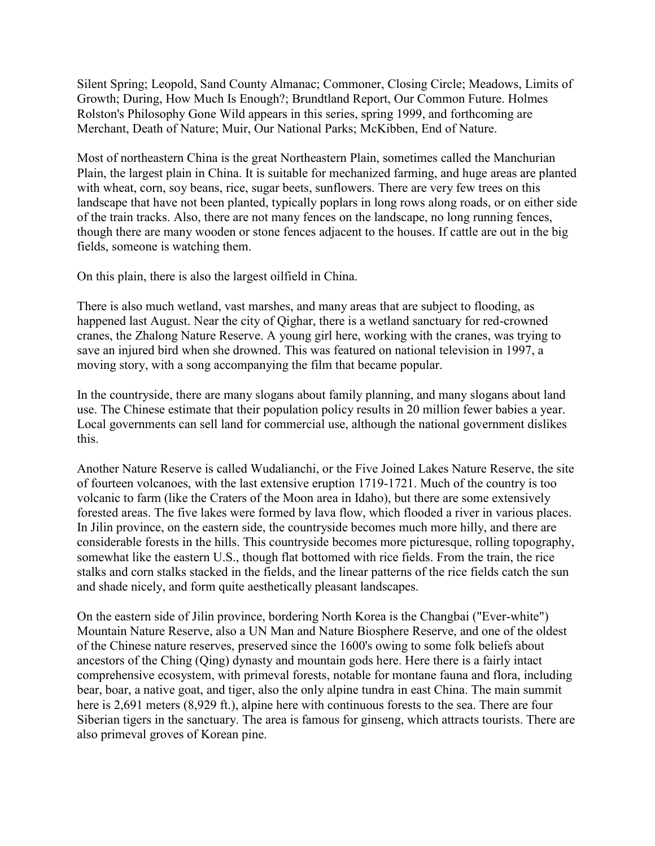Silent Spring; Leopold, Sand County Almanac; Commoner, Closing Circle; Meadows, Limits of Growth; During, How Much Is Enough?; Brundtland Report, Our Common Future. Holmes Rolston's Philosophy Gone Wild appears in this series, spring 1999, and forthcoming are Merchant, Death of Nature; Muir, Our National Parks; McKibben, End of Nature.

Most of northeastern China is the great Northeastern Plain, sometimes called the Manchurian Plain, the largest plain in China. It is suitable for mechanized farming, and huge areas are planted with wheat, corn, soy beans, rice, sugar beets, sunflowers. There are very few trees on this landscape that have not been planted, typically poplars in long rows along roads, or on either side of the train tracks. Also, there are not many fences on the landscape, no long running fences, though there are many wooden or stone fences adjacent to the houses. If cattle are out in the big fields, someone is watching them.

On this plain, there is also the largest oilfield in China.

There is also much wetland, vast marshes, and many areas that are subject to flooding, as happened last August. Near the city of Qighar, there is a wetland sanctuary for red-crowned cranes, the Zhalong Nature Reserve. A young girl here, working with the cranes, was trying to save an injured bird when she drowned. This was featured on national television in 1997, a moving story, with a song accompanying the film that became popular.

In the countryside, there are many slogans about family planning, and many slogans about land use. The Chinese estimate that their population policy results in 20 million fewer babies a year. Local governments can sell land for commercial use, although the national government dislikes this.

Another Nature Reserve is called Wudalianchi, or the Five Joined Lakes Nature Reserve, the site of fourteen volcanoes, with the last extensive eruption 1719-1721. Much of the country is too volcanic to farm (like the Craters of the Moon area in Idaho), but there are some extensively forested areas. The five lakes were formed by lava flow, which flooded a river in various places. In Jilin province, on the eastern side, the countryside becomes much more hilly, and there are considerable forests in the hills. This countryside becomes more picturesque, rolling topography, somewhat like the eastern U.S., though flat bottomed with rice fields. From the train, the rice stalks and corn stalks stacked in the fields, and the linear patterns of the rice fields catch the sun and shade nicely, and form quite aesthetically pleasant landscapes.

On the eastern side of Jilin province, bordering North Korea is the Changbai ("Ever-white") Mountain Nature Reserve, also a UN Man and Nature Biosphere Reserve, and one of the oldest of the Chinese nature reserves, preserved since the 1600's owing to some folk beliefs about ancestors of the Ching (Qing) dynasty and mountain gods here. Here there is a fairly intact comprehensive ecosystem, with primeval forests, notable for montane fauna and flora, including bear, boar, a native goat, and tiger, also the only alpine tundra in east China. The main summit here is 2,691 meters (8,929 ft.), alpine here with continuous forests to the sea. There are four Siberian tigers in the sanctuary. The area is famous for ginseng, which attracts tourists. There are also primeval groves of Korean pine.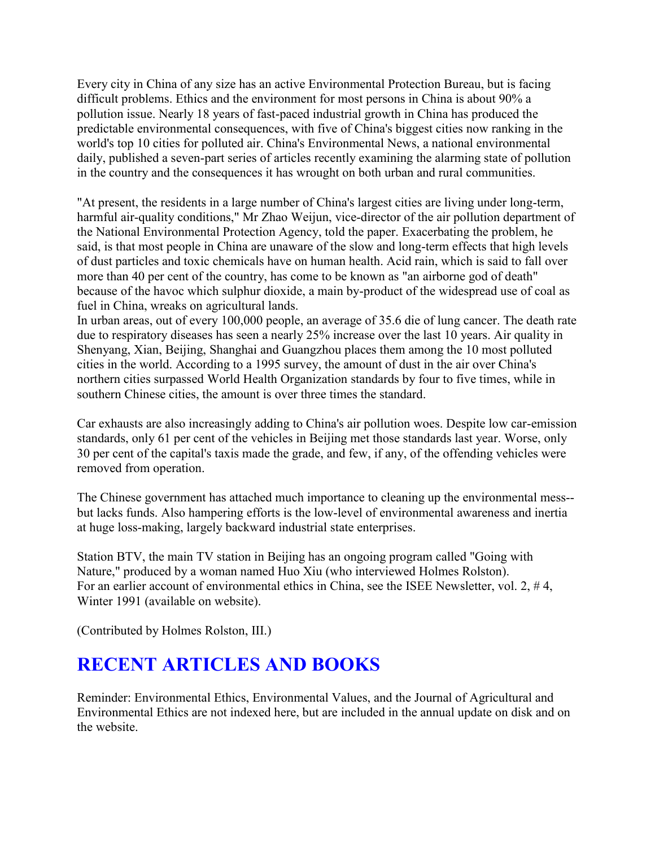Every city in China of any size has an active Environmental Protection Bureau, but is facing difficult problems. Ethics and the environment for most persons in China is about 90% a pollution issue. Nearly 18 years of fast-paced industrial growth in China has produced the predictable environmental consequences, with five of China's biggest cities now ranking in the world's top 10 cities for polluted air. China's Environmental News, a national environmental daily, published a seven-part series of articles recently examining the alarming state of pollution in the country and the consequences it has wrought on both urban and rural communities.

"At present, the residents in a large number of China's largest cities are living under long-term, harmful air-quality conditions," Mr Zhao Weijun, vice-director of the air pollution department of the National Environmental Protection Agency, told the paper. Exacerbating the problem, he said, is that most people in China are unaware of the slow and long-term effects that high levels of dust particles and toxic chemicals have on human health. Acid rain, which is said to fall over more than 40 per cent of the country, has come to be known as "an airborne god of death" because of the havoc which sulphur dioxide, a main by-product of the widespread use of coal as fuel in China, wreaks on agricultural lands.

In urban areas, out of every 100,000 people, an average of 35.6 die of lung cancer. The death rate due to respiratory diseases has seen a nearly 25% increase over the last 10 years. Air quality in Shenyang, Xian, Beijing, Shanghai and Guangzhou places them among the 10 most polluted cities in the world. According to a 1995 survey, the amount of dust in the air over China's northern cities surpassed World Health Organization standards by four to five times, while in southern Chinese cities, the amount is over three times the standard.

Car exhausts are also increasingly adding to China's air pollution woes. Despite low car-emission standards, only 61 per cent of the vehicles in Beijing met those standards last year. Worse, only 30 per cent of the capital's taxis made the grade, and few, if any, of the offending vehicles were removed from operation.

The Chinese government has attached much importance to cleaning up the environmental mess- but lacks funds. Also hampering efforts is the low-level of environmental awareness and inertia at huge loss-making, largely backward industrial state enterprises.

Station BTV, the main TV station in Beijing has an ongoing program called "Going with Nature," produced by a woman named Huo Xiu (who interviewed Holmes Rolston). For an earlier account of environmental ethics in China, see the ISEE Newsletter, vol. 2, #4, Winter 1991 (available on website).

(Contributed by Holmes Rolston, III.)

# **RECENT ARTICLES AND BOOKS**

Reminder: Environmental Ethics, Environmental Values, and the Journal of Agricultural and Environmental Ethics are not indexed here, but are included in the annual update on disk and on the website.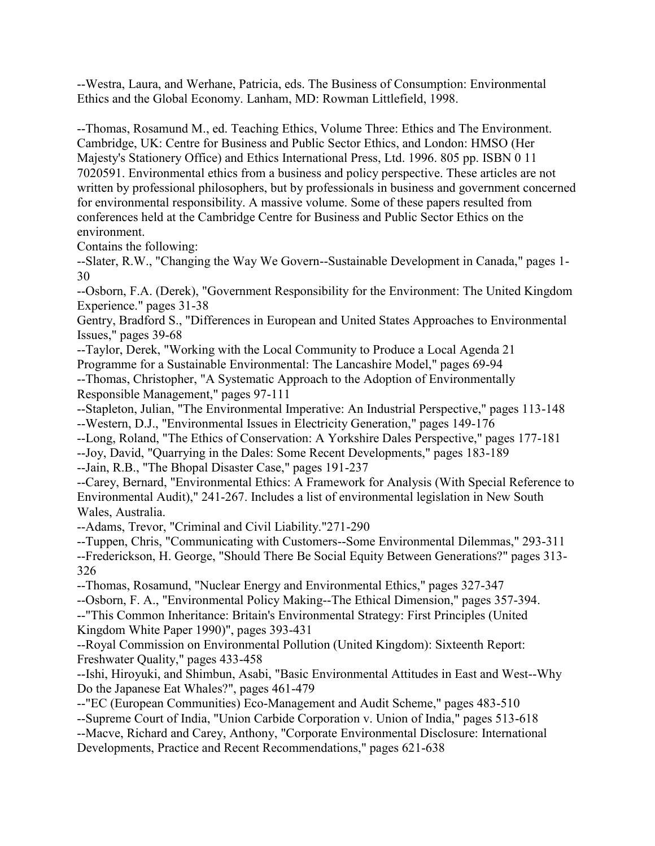--Westra, Laura, and Werhane, Patricia, eds. The Business of Consumption: Environmental Ethics and the Global Economy. Lanham, MD: Rowman Littlefield, 1998.

--Thomas, Rosamund M., ed. Teaching Ethics, Volume Three: Ethics and The Environment. Cambridge, UK: Centre for Business and Public Sector Ethics, and London: HMSO (Her Majesty's Stationery Office) and Ethics International Press, Ltd. 1996. 805 pp. ISBN 0 11 7020591. Environmental ethics from a business and policy perspective. These articles are not written by professional philosophers, but by professionals in business and government concerned for environmental responsibility. A massive volume. Some of these papers resulted from conferences held at the Cambridge Centre for Business and Public Sector Ethics on the environment.

Contains the following:

--Slater, R.W., "Changing the Way We Govern--Sustainable Development in Canada," pages 1- 30

--Osborn, F.A. (Derek), "Government Responsibility for the Environment: The United Kingdom Experience." pages 31-38

Gentry, Bradford S., "Differences in European and United States Approaches to Environmental Issues," pages 39-68

--Taylor, Derek, "Working with the Local Community to Produce a Local Agenda 21 Programme for a Sustainable Environmental: The Lancashire Model," pages 69-94 --Thomas, Christopher, "A Systematic Approach to the Adoption of Environmentally

Responsible Management," pages 97-111

--Stapleton, Julian, "The Environmental Imperative: An Industrial Perspective," pages 113-148 --Western, D.J., "Environmental Issues in Electricity Generation," pages 149-176

--Long, Roland, "The Ethics of Conservation: A Yorkshire Dales Perspective," pages 177-181

--Joy, David, "Quarrying in the Dales: Some Recent Developments," pages 183-189

--Jain, R.B., "The Bhopal Disaster Case," pages 191-237

--Carey, Bernard, "Environmental Ethics: A Framework for Analysis (With Special Reference to Environmental Audit)," 241-267. Includes a list of environmental legislation in New South Wales, Australia.

--Adams, Trevor, "Criminal and Civil Liability."271-290

--Tuppen, Chris, "Communicating with Customers--Some Environmental Dilemmas," 293-311

--Frederickson, H. George, "Should There Be Social Equity Between Generations?" pages 313- 326

--Thomas, Rosamund, "Nuclear Energy and Environmental Ethics," pages 327-347

--Osborn, F. A., "Environmental Policy Making--The Ethical Dimension," pages 357-394.

--"This Common Inheritance: Britain's Environmental Strategy: First Principles (United Kingdom White Paper 1990)", pages 393-431

--Royal Commission on Environmental Pollution (United Kingdom): Sixteenth Report: Freshwater Quality," pages 433-458

--Ishi, Hiroyuki, and Shimbun, Asabi, "Basic Environmental Attitudes in East and West--Why Do the Japanese Eat Whales?", pages 461-479

--"EC (European Communities) Eco-Management and Audit Scheme," pages 483-510 --Supreme Court of India, "Union Carbide Corporation v. Union of India," pages 513-618 --Macve, Richard and Carey, Anthony, "Corporate Environmental Disclosure: International Developments, Practice and Recent Recommendations," pages 621-638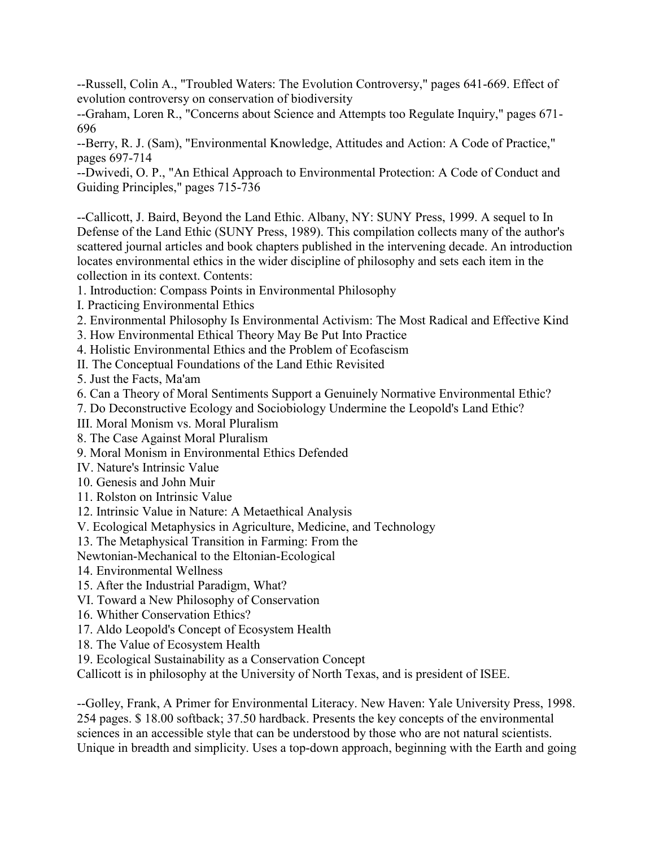--Russell, Colin A., "Troubled Waters: The Evolution Controversy," pages 641-669. Effect of evolution controversy on conservation of biodiversity

--Graham, Loren R., "Concerns about Science and Attempts too Regulate Inquiry," pages 671- 696

--Berry, R. J. (Sam), "Environmental Knowledge, Attitudes and Action: A Code of Practice," pages 697-714

--Dwivedi, O. P., "An Ethical Approach to Environmental Protection: A Code of Conduct and Guiding Principles," pages 715-736

--Callicott, J. Baird, Beyond the Land Ethic. Albany, NY: SUNY Press, 1999. A sequel to In Defense of the Land Ethic (SUNY Press, 1989). This compilation collects many of the author's scattered journal articles and book chapters published in the intervening decade. An introduction locates environmental ethics in the wider discipline of philosophy and sets each item in the collection in its context. Contents:

1. Introduction: Compass Points in Environmental Philosophy

I. Practicing Environmental Ethics

- 2. Environmental Philosophy Is Environmental Activism: The Most Radical and Effective Kind
- 3. How Environmental Ethical Theory May Be Put Into Practice

4. Holistic Environmental Ethics and the Problem of Ecofascism

II. The Conceptual Foundations of the Land Ethic Revisited

5. Just the Facts, Ma'am

6. Can a Theory of Moral Sentiments Support a Genuinely Normative Environmental Ethic?

7. Do Deconstructive Ecology and Sociobiology Undermine the Leopold's Land Ethic?

III. Moral Monism vs. Moral Pluralism

8. The Case Against Moral Pluralism

9. Moral Monism in Environmental Ethics Defended

IV. Nature's Intrinsic Value

10. Genesis and John Muir

11. Rolston on Intrinsic Value

12. Intrinsic Value in Nature: A Metaethical Analysis

V. Ecological Metaphysics in Agriculture, Medicine, and Technology

13. The Metaphysical Transition in Farming: From the

Newtonian-Mechanical to the Eltonian-Ecological

14. Environmental Wellness

15. After the Industrial Paradigm, What?

VI. Toward a New Philosophy of Conservation

16. Whither Conservation Ethics?

17. Aldo Leopold's Concept of Ecosystem Health

18. The Value of Ecosystem Health

19. Ecological Sustainability as a Conservation Concept

Callicott is in philosophy at the University of North Texas, and is president of ISEE.

--Golley, Frank, A Primer for Environmental Literacy. New Haven: Yale University Press, 1998. 254 pages. \$ 18.00 softback; 37.50 hardback. Presents the key concepts of the environmental sciences in an accessible style that can be understood by those who are not natural scientists. Unique in breadth and simplicity. Uses a top-down approach, beginning with the Earth and going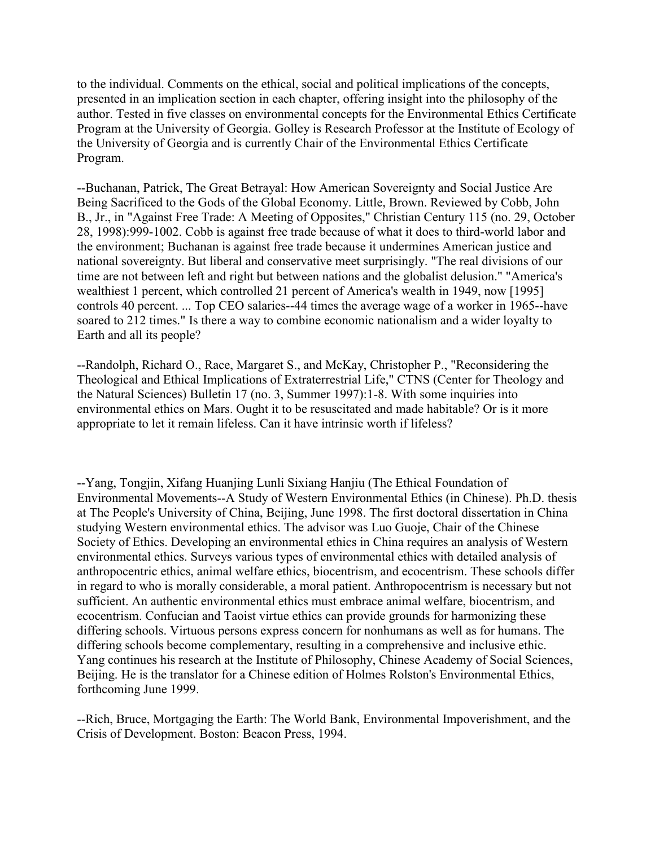to the individual. Comments on the ethical, social and political implications of the concepts, presented in an implication section in each chapter, offering insight into the philosophy of the author. Tested in five classes on environmental concepts for the Environmental Ethics Certificate Program at the University of Georgia. Golley is Research Professor at the Institute of Ecology of the University of Georgia and is currently Chair of the Environmental Ethics Certificate Program.

--Buchanan, Patrick, The Great Betrayal: How American Sovereignty and Social Justice Are Being Sacrificed to the Gods of the Global Economy. Little, Brown. Reviewed by Cobb, John B., Jr., in "Against Free Trade: A Meeting of Opposites," Christian Century 115 (no. 29, October 28, 1998):999-1002. Cobb is against free trade because of what it does to third-world labor and the environment; Buchanan is against free trade because it undermines American justice and national sovereignty. But liberal and conservative meet surprisingly. "The real divisions of our time are not between left and right but between nations and the globalist delusion." "America's wealthiest 1 percent, which controlled 21 percent of America's wealth in 1949, now [1995] controls 40 percent. ... Top CEO salaries--44 times the average wage of a worker in 1965--have soared to 212 times." Is there a way to combine economic nationalism and a wider loyalty to Earth and all its people?

--Randolph, Richard O., Race, Margaret S., and McKay, Christopher P., "Reconsidering the Theological and Ethical Implications of Extraterrestrial Life," CTNS (Center for Theology and the Natural Sciences) Bulletin 17 (no. 3, Summer 1997):1-8. With some inquiries into environmental ethics on Mars. Ought it to be resuscitated and made habitable? Or is it more appropriate to let it remain lifeless. Can it have intrinsic worth if lifeless?

--Yang, Tongjin, Xifang Huanjing Lunli Sixiang Hanjiu (The Ethical Foundation of Environmental Movements--A Study of Western Environmental Ethics (in Chinese). Ph.D. thesis at The People's University of China, Beijing, June 1998. The first doctoral dissertation in China studying Western environmental ethics. The advisor was Luo Guoje, Chair of the Chinese Society of Ethics. Developing an environmental ethics in China requires an analysis of Western environmental ethics. Surveys various types of environmental ethics with detailed analysis of anthropocentric ethics, animal welfare ethics, biocentrism, and ecocentrism. These schools differ in regard to who is morally considerable, a moral patient. Anthropocentrism is necessary but not sufficient. An authentic environmental ethics must embrace animal welfare, biocentrism, and ecocentrism. Confucian and Taoist virtue ethics can provide grounds for harmonizing these differing schools. Virtuous persons express concern for nonhumans as well as for humans. The differing schools become complementary, resulting in a comprehensive and inclusive ethic. Yang continues his research at the Institute of Philosophy, Chinese Academy of Social Sciences, Beijing. He is the translator for a Chinese edition of Holmes Rolston's Environmental Ethics, forthcoming June 1999.

--Rich, Bruce, Mortgaging the Earth: The World Bank, Environmental Impoverishment, and the Crisis of Development. Boston: Beacon Press, 1994.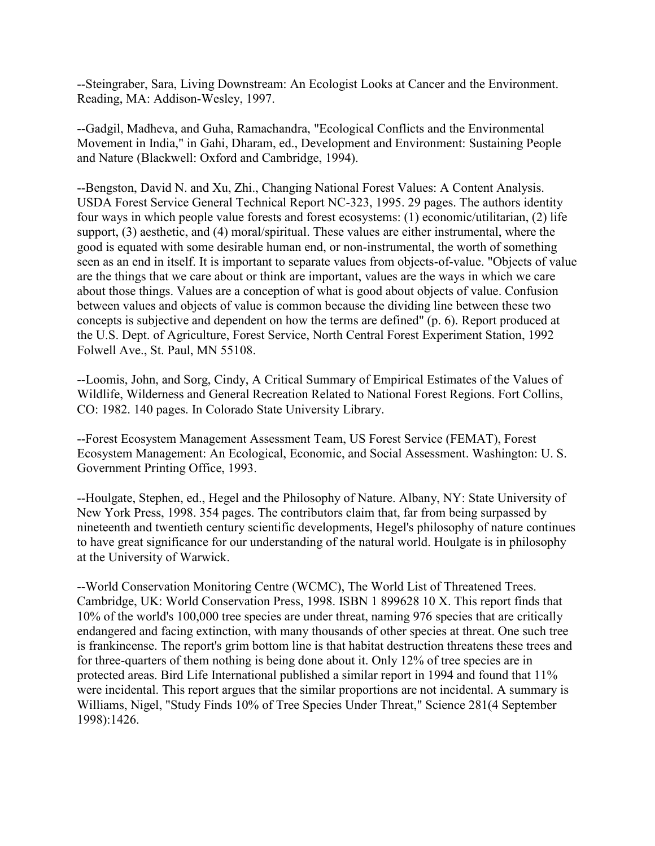--Steingraber, Sara, Living Downstream: An Ecologist Looks at Cancer and the Environment. Reading, MA: Addison-Wesley, 1997.

--Gadgil, Madheva, and Guha, Ramachandra, "Ecological Conflicts and the Environmental Movement in India," in Gahi, Dharam, ed., Development and Environment: Sustaining People and Nature (Blackwell: Oxford and Cambridge, 1994).

--Bengston, David N. and Xu, Zhi., Changing National Forest Values: A Content Analysis. USDA Forest Service General Technical Report NC-323, 1995. 29 pages. The authors identity four ways in which people value forests and forest ecosystems: (1) economic/utilitarian, (2) life support, (3) aesthetic, and (4) moral/spiritual. These values are either instrumental, where the good is equated with some desirable human end, or non-instrumental, the worth of something seen as an end in itself. It is important to separate values from objects-of-value. "Objects of value are the things that we care about or think are important, values are the ways in which we care about those things. Values are a conception of what is good about objects of value. Confusion between values and objects of value is common because the dividing line between these two concepts is subjective and dependent on how the terms are defined" (p. 6). Report produced at the U.S. Dept. of Agriculture, Forest Service, North Central Forest Experiment Station, 1992 Folwell Ave., St. Paul, MN 55108.

--Loomis, John, and Sorg, Cindy, A Critical Summary of Empirical Estimates of the Values of Wildlife, Wilderness and General Recreation Related to National Forest Regions. Fort Collins, CO: 1982. 140 pages. In Colorado State University Library.

--Forest Ecosystem Management Assessment Team, US Forest Service (FEMAT), Forest Ecosystem Management: An Ecological, Economic, and Social Assessment. Washington: U. S. Government Printing Office, 1993.

--Houlgate, Stephen, ed., Hegel and the Philosophy of Nature. Albany, NY: State University of New York Press, 1998. 354 pages. The contributors claim that, far from being surpassed by nineteenth and twentieth century scientific developments, Hegel's philosophy of nature continues to have great significance for our understanding of the natural world. Houlgate is in philosophy at the University of Warwick.

--World Conservation Monitoring Centre (WCMC), The World List of Threatened Trees. Cambridge, UK: World Conservation Press, 1998. ISBN 1 899628 10 X. This report finds that 10% of the world's 100,000 tree species are under threat, naming 976 species that are critically endangered and facing extinction, with many thousands of other species at threat. One such tree is frankincense. The report's grim bottom line is that habitat destruction threatens these trees and for three-quarters of them nothing is being done about it. Only 12% of tree species are in protected areas. Bird Life International published a similar report in 1994 and found that 11% were incidental. This report argues that the similar proportions are not incidental. A summary is Williams, Nigel, "Study Finds 10% of Tree Species Under Threat," Science 281(4 September 1998):1426.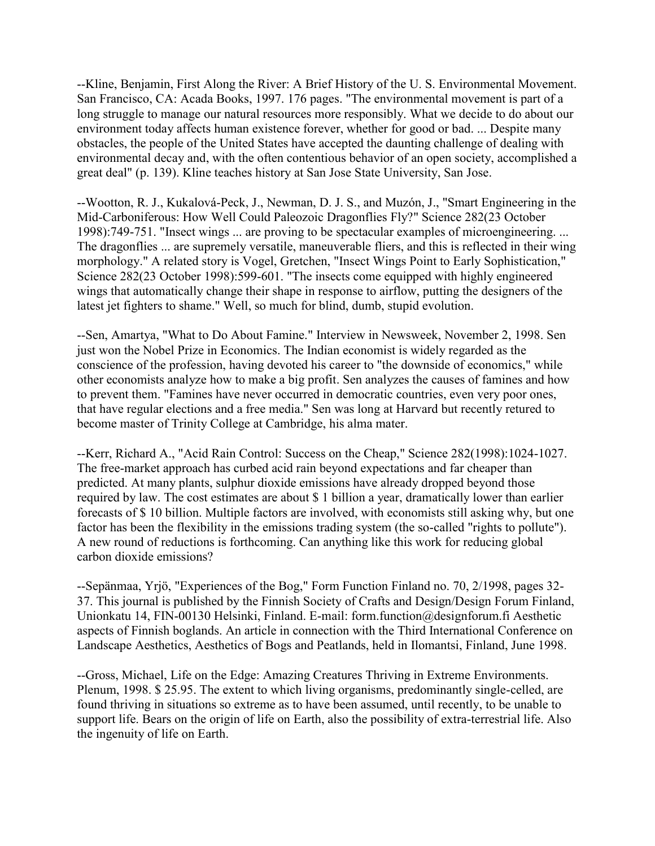--Kline, Benjamin, First Along the River: A Brief History of the U. S. Environmental Movement. San Francisco, CA: Acada Books, 1997. 176 pages. "The environmental movement is part of a long struggle to manage our natural resources more responsibly. What we decide to do about our environment today affects human existence forever, whether for good or bad. ... Despite many obstacles, the people of the United States have accepted the daunting challenge of dealing with environmental decay and, with the often contentious behavior of an open society, accomplished a great deal" (p. 139). Kline teaches history at San Jose State University, San Jose.

--Wootton, R. J., Kukalová-Peck, J., Newman, D. J. S., and Muzón, J., "Smart Engineering in the Mid-Carboniferous: How Well Could Paleozoic Dragonflies Fly?" Science 282(23 October 1998):749-751. "Insect wings ... are proving to be spectacular examples of microengineering. ... The dragonflies ... are supremely versatile, maneuverable fliers, and this is reflected in their wing morphology." A related story is Vogel, Gretchen, "Insect Wings Point to Early Sophistication," Science 282(23 October 1998):599-601. "The insects come equipped with highly engineered wings that automatically change their shape in response to airflow, putting the designers of the latest jet fighters to shame." Well, so much for blind, dumb, stupid evolution.

--Sen, Amartya, "What to Do About Famine." Interview in Newsweek, November 2, 1998. Sen just won the Nobel Prize in Economics. The Indian economist is widely regarded as the conscience of the profession, having devoted his career to "the downside of economics," while other economists analyze how to make a big profit. Sen analyzes the causes of famines and how to prevent them. "Famines have never occurred in democratic countries, even very poor ones, that have regular elections and a free media." Sen was long at Harvard but recently retured to become master of Trinity College at Cambridge, his alma mater.

--Kerr, Richard A., "Acid Rain Control: Success on the Cheap," Science 282(1998):1024-1027. The free-market approach has curbed acid rain beyond expectations and far cheaper than predicted. At many plants, sulphur dioxide emissions have already dropped beyond those required by law. The cost estimates are about \$ 1 billion a year, dramatically lower than earlier forecasts of \$ 10 billion. Multiple factors are involved, with economists still asking why, but one factor has been the flexibility in the emissions trading system (the so-called "rights to pollute"). A new round of reductions is forthcoming. Can anything like this work for reducing global carbon dioxide emissions?

--Sepänmaa, Yrjö, "Experiences of the Bog," Form Function Finland no. 70, 2/1998, pages 32- 37. This journal is published by the Finnish Society of Crafts and Design/Design Forum Finland, Unionkatu 14, FIN-00130 Helsinki, Finland. E-mail: form.function@designforum.fi Aesthetic aspects of Finnish boglands. An article in connection with the Third International Conference on Landscape Aesthetics, Aesthetics of Bogs and Peatlands, held in Ilomantsi, Finland, June 1998.

--Gross, Michael, Life on the Edge: Amazing Creatures Thriving in Extreme Environments. Plenum, 1998. \$ 25.95. The extent to which living organisms, predominantly single-celled, are found thriving in situations so extreme as to have been assumed, until recently, to be unable to support life. Bears on the origin of life on Earth, also the possibility of extra-terrestrial life. Also the ingenuity of life on Earth.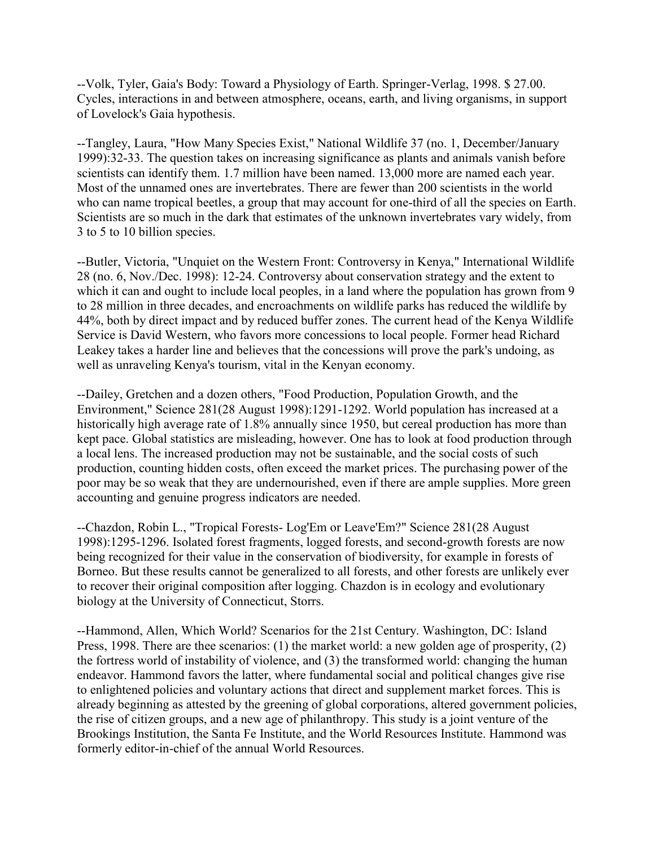--Volk, Tyler, Gaia's Body: Toward a Physiology of Earth. Springer-Verlag, 1998. \$ 27.00. Cycles, interactions in and between atmosphere, oceans, earth, and living organisms, in support of Lovelock's Gaia hypothesis.

--Tangley, Laura, "How Many Species Exist," National Wildlife 37 (no. 1, December/January 1999):32-33. The question takes on increasing significance as plants and animals vanish before scientists can identify them. 1.7 million have been named. 13,000 more are named each year. Most of the unnamed ones are invertebrates. There are fewer than 200 scientists in the world who can name tropical beetles, a group that may account for one-third of all the species on Earth. Scientists are so much in the dark that estimates of the unknown invertebrates vary widely, from 3 to 5 to 10 billion species.

--Butler, Victoria, "Unquiet on the Western Front: Controversy in Kenya," International Wildlife 28 (no. 6, Nov./Dec. 1998): 12-24. Controversy about conservation strategy and the extent to which it can and ought to include local peoples, in a land where the population has grown from 9 to 28 million in three decades, and encroachments on wildlife parks has reduced the wildlife by 44%, both by direct impact and by reduced buffer zones. The current head of the Kenya Wildlife Service is David Western, who favors more concessions to local people. Former head Richard Leakey takes a harder line and believes that the concessions will prove the park's undoing, as well as unraveling Kenya's tourism, vital in the Kenyan economy.

--Dailey, Gretchen and a dozen others, "Food Production, Population Growth, and the Environment," Science 281(28 August 1998):1291-1292. World population has increased at a historically high average rate of 1.8% annually since 1950, but cereal production has more than kept pace. Global statistics are misleading, however. One has to look at food production through a local lens. The increased production may not be sustainable, and the social costs of such production, counting hidden costs, often exceed the market prices. The purchasing power of the poor may be so weak that they are undernourished, even if there are ample supplies. More green accounting and genuine progress indicators are needed.

--Chazdon, Robin L., "Tropical Forests- Log'Em or Leave'Em?" Science 281(28 August 1998):1295-1296. Isolated forest fragments, logged forests, and second-growth forests are now being recognized for their value in the conservation of biodiversity, for example in forests of Borneo. But these results cannot be generalized to all forests, and other forests are unlikely ever to recover their original composition after logging. Chazdon is in ecology and evolutionary biology at the University of Connecticut, Storrs.

--Hammond, Allen, Which World? Scenarios for the 21st Century. Washington, DC: Island Press, 1998. There are thee scenarios: (1) the market world: a new golden age of prosperity, (2) the fortress world of instability of violence, and (3) the transformed world: changing the human endeavor. Hammond favors the latter, where fundamental social and political changes give rise to enlightened policies and voluntary actions that direct and supplement market forces. This is already beginning as attested by the greening of global corporations, altered government policies, the rise of citizen groups, and a new age of philanthropy. This study is a joint venture of the Brookings Institution, the Santa Fe Institute, and the World Resources Institute. Hammond was formerly editor-in-chief of the annual World Resources.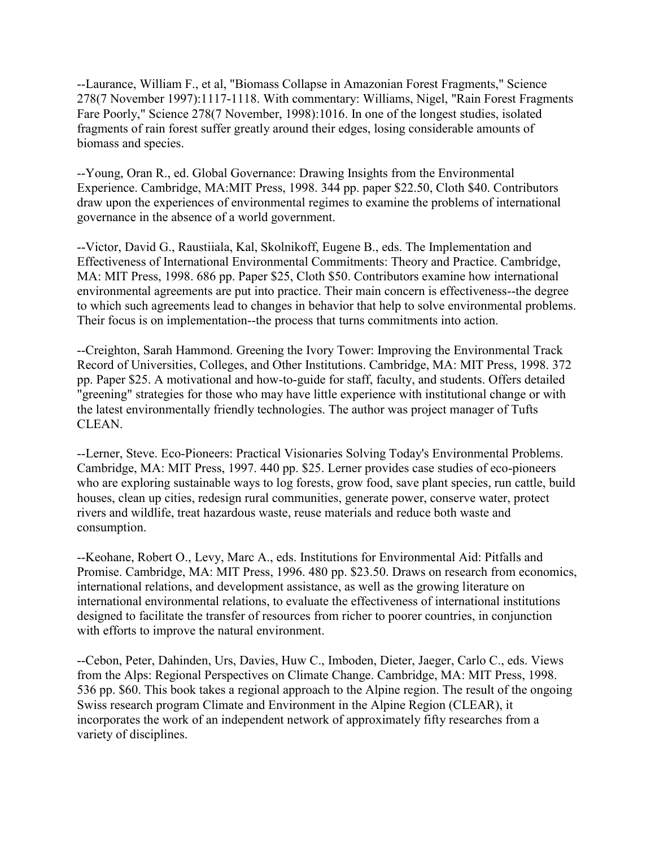--Laurance, William F., et al, "Biomass Collapse in Amazonian Forest Fragments," Science 278(7 November 1997):1117-1118. With commentary: Williams, Nigel, "Rain Forest Fragments Fare Poorly," Science 278(7 November, 1998):1016. In one of the longest studies, isolated fragments of rain forest suffer greatly around their edges, losing considerable amounts of biomass and species.

--Young, Oran R., ed. Global Governance: Drawing Insights from the Environmental Experience. Cambridge, MA:MIT Press, 1998. 344 pp. paper \$22.50, Cloth \$40. Contributors draw upon the experiences of environmental regimes to examine the problems of international governance in the absence of a world government.

--Victor, David G., Raustiiala, Kal, Skolnikoff, Eugene B., eds. The Implementation and Effectiveness of International Environmental Commitments: Theory and Practice. Cambridge, MA: MIT Press, 1998. 686 pp. Paper \$25, Cloth \$50. Contributors examine how international environmental agreements are put into practice. Their main concern is effectiveness--the degree to which such agreements lead to changes in behavior that help to solve environmental problems. Their focus is on implementation--the process that turns commitments into action.

--Creighton, Sarah Hammond. Greening the Ivory Tower: Improving the Environmental Track Record of Universities, Colleges, and Other Institutions. Cambridge, MA: MIT Press, 1998. 372 pp. Paper \$25. A motivational and how-to-guide for staff, faculty, and students. Offers detailed "greening" strategies for those who may have little experience with institutional change or with the latest environmentally friendly technologies. The author was project manager of Tufts CLEAN.

--Lerner, Steve. Eco-Pioneers: Practical Visionaries Solving Today's Environmental Problems. Cambridge, MA: MIT Press, 1997. 440 pp. \$25. Lerner provides case studies of eco-pioneers who are exploring sustainable ways to log forests, grow food, save plant species, run cattle, build houses, clean up cities, redesign rural communities, generate power, conserve water, protect rivers and wildlife, treat hazardous waste, reuse materials and reduce both waste and consumption.

--Keohane, Robert O., Levy, Marc A., eds. Institutions for Environmental Aid: Pitfalls and Promise. Cambridge, MA: MIT Press, 1996. 480 pp. \$23.50. Draws on research from economics, international relations, and development assistance, as well as the growing literature on international environmental relations, to evaluate the effectiveness of international institutions designed to facilitate the transfer of resources from richer to poorer countries, in conjunction with efforts to improve the natural environment.

--Cebon, Peter, Dahinden, Urs, Davies, Huw C., Imboden, Dieter, Jaeger, Carlo C., eds. Views from the Alps: Regional Perspectives on Climate Change. Cambridge, MA: MIT Press, 1998. 536 pp. \$60. This book takes a regional approach to the Alpine region. The result of the ongoing Swiss research program Climate and Environment in the Alpine Region (CLEAR), it incorporates the work of an independent network of approximately fifty researches from a variety of disciplines.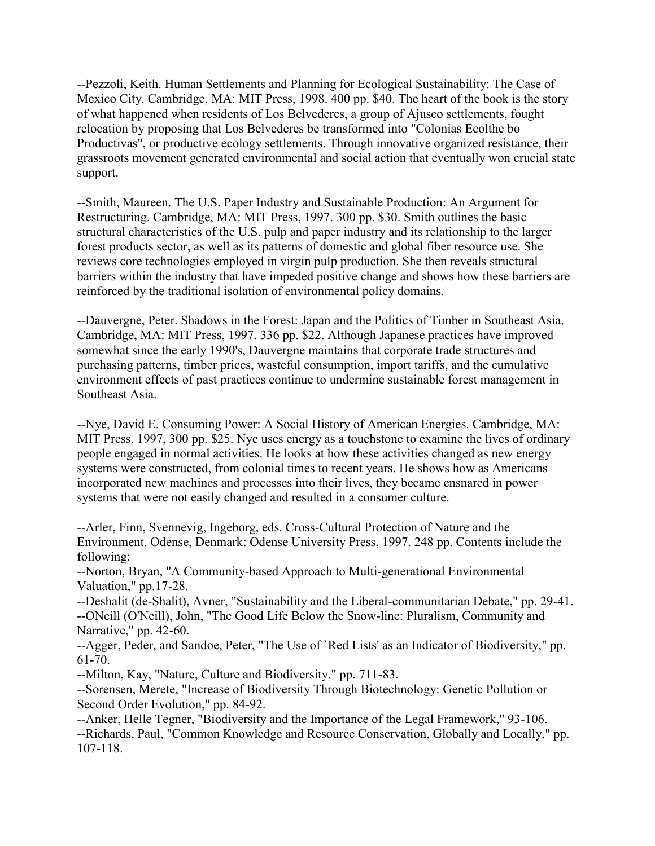--Pezzoli, Keith. Human Settlements and Planning for Ecological Sustainability: The Case of Mexico City. Cambridge, MA: MIT Press, 1998. 400 pp. \$40. The heart of the book is the story of what happened when residents of Los Belvederes, a group of Ajusco settlements, fought relocation by proposing that Los Belvederes be transformed into "Colonias Ecolthe bo Productivas", or productive ecology settlements. Through innovative organized resistance, their grassroots movement generated environmental and social action that eventually won crucial state support.

--Smith, Maureen. The U.S. Paper Industry and Sustainable Production: An Argument for Restructuring. Cambridge, MA: MIT Press, 1997. 300 pp. \$30. Smith outlines the basic structural characteristics of the U.S. pulp and paper industry and its relationship to the larger forest products sector, as well as its patterns of domestic and global fiber resource use. She reviews core technologies employed in virgin pulp production. She then reveals structural barriers within the industry that have impeded positive change and shows how these barriers are reinforced by the traditional isolation of environmental policy domains.

--Dauvergne, Peter. Shadows in the Forest: Japan and the Politics of Timber in Southeast Asia. Cambridge, MA: MIT Press, 1997. 336 pp. \$22. Although Japanese practices have improved somewhat since the early 1990's, Dauvergne maintains that corporate trade structures and purchasing patterns, timber prices, wasteful consumption, import tariffs, and the cumulative environment effects of past practices continue to undermine sustainable forest management in Southeast Asia.

--Nye, David E. Consuming Power: A Social History of American Energies. Cambridge, MA: MIT Press. 1997, 300 pp. \$25. Nye uses energy as a touchstone to examine the lives of ordinary people engaged in normal activities. He looks at how these activities changed as new energy systems were constructed, from colonial times to recent years. He shows how as Americans incorporated new machines and processes into their lives, they became ensnared in power systems that were not easily changed and resulted in a consumer culture.

--Arler, Finn, Svennevig, Ingeborg, eds. Cross-Cultural Protection of Nature and the Environment. Odense, Denmark: Odense University Press, 1997. 248 pp. Contents include the following:

--Norton, Bryan, "A Community-based Approach to Multi-generational Environmental Valuation," pp.17-28.

--Deshalit (de-Shalit), Avner, "Sustainability and the Liberal-communitarian Debate," pp. 29-41. --ONeill (O'Neill), John, "The Good Life Below the Snow-line: Pluralism, Community and Narrative," pp. 42-60.

--Agger, Peder, and Sandoe, Peter, "The Use of `Red Lists' as an Indicator of Biodiversity," pp. 61-70.

--Milton, Kay, "Nature, Culture and Biodiversity," pp. 711-83.

--Sorensen, Merete, "Increase of Biodiversity Through Biotechnology: Genetic Pollution or Second Order Evolution," pp. 84-92.

--Anker, Helle Tegner, "Biodiversity and the Importance of the Legal Framework," 93-106. --Richards, Paul, "Common Knowledge and Resource Conservation, Globally and Locally," pp. 107-118.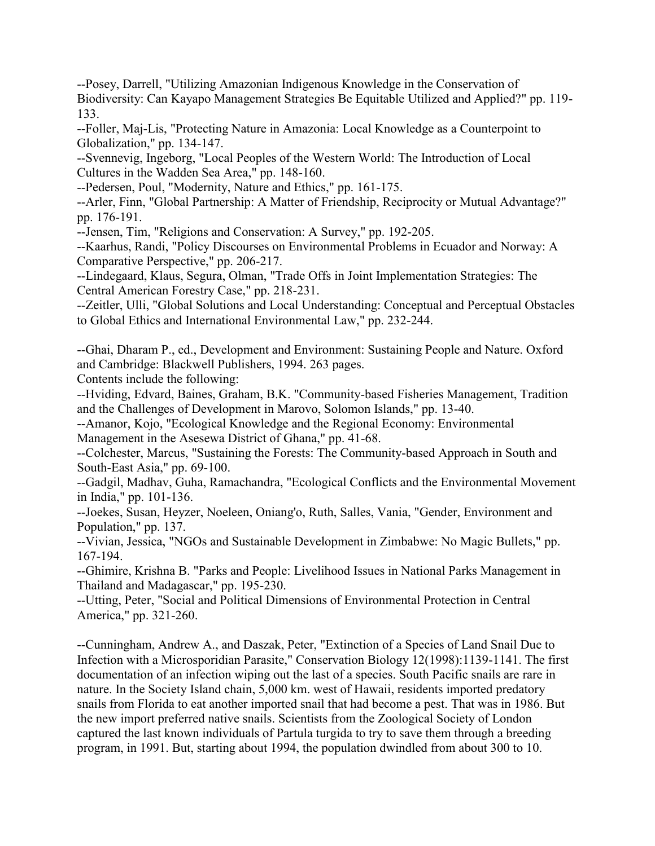--Posey, Darrell, "Utilizing Amazonian Indigenous Knowledge in the Conservation of Biodiversity: Can Kayapo Management Strategies Be Equitable Utilized and Applied?" pp. 119- 133.

--Foller, Maj-Lis, "Protecting Nature in Amazonia: Local Knowledge as a Counterpoint to Globalization," pp. 134-147.

--Svennevig, Ingeborg, "Local Peoples of the Western World: The Introduction of Local Cultures in the Wadden Sea Area," pp. 148-160.

--Pedersen, Poul, "Modernity, Nature and Ethics," pp. 161-175.

--Arler, Finn, "Global Partnership: A Matter of Friendship, Reciprocity or Mutual Advantage?" pp. 176-191.

--Jensen, Tim, "Religions and Conservation: A Survey," pp. 192-205.

--Kaarhus, Randi, "Policy Discourses on Environmental Problems in Ecuador and Norway: A Comparative Perspective," pp. 206-217.

--Lindegaard, Klaus, Segura, Olman, "Trade Offs in Joint Implementation Strategies: The Central American Forestry Case," pp. 218-231.

--Zeitler, Ulli, "Global Solutions and Local Understanding: Conceptual and Perceptual Obstacles to Global Ethics and International Environmental Law," pp. 232-244.

--Ghai, Dharam P., ed., Development and Environment: Sustaining People and Nature. Oxford and Cambridge: Blackwell Publishers, 1994. 263 pages.

Contents include the following:

--Hviding, Edvard, Baines, Graham, B.K. "Community-based Fisheries Management, Tradition and the Challenges of Development in Marovo, Solomon Islands," pp. 13-40.

--Amanor, Kojo, "Ecological Knowledge and the Regional Economy: Environmental Management in the Asesewa District of Ghana," pp. 41-68.

--Colchester, Marcus, "Sustaining the Forests: The Community-based Approach in South and South-East Asia," pp. 69-100.

--Gadgil, Madhav, Guha, Ramachandra, "Ecological Conflicts and the Environmental Movement in India," pp. 101-136.

--Joekes, Susan, Heyzer, Noeleen, Oniang'o, Ruth, Salles, Vania, "Gender, Environment and Population," pp. 137.

--Vivian, Jessica, "NGOs and Sustainable Development in Zimbabwe: No Magic Bullets," pp. 167-194.

--Ghimire, Krishna B. "Parks and People: Livelihood Issues in National Parks Management in Thailand and Madagascar," pp. 195-230.

--Utting, Peter, "Social and Political Dimensions of Environmental Protection in Central America," pp. 321-260.

--Cunningham, Andrew A., and Daszak, Peter, "Extinction of a Species of Land Snail Due to Infection with a Microsporidian Parasite," Conservation Biology 12(1998):1139-1141. The first documentation of an infection wiping out the last of a species. South Pacific snails are rare in nature. In the Society Island chain, 5,000 km. west of Hawaii, residents imported predatory snails from Florida to eat another imported snail that had become a pest. That was in 1986. But the new import preferred native snails. Scientists from the Zoological Society of London captured the last known individuals of Partula turgida to try to save them through a breeding program, in 1991. But, starting about 1994, the population dwindled from about 300 to 10.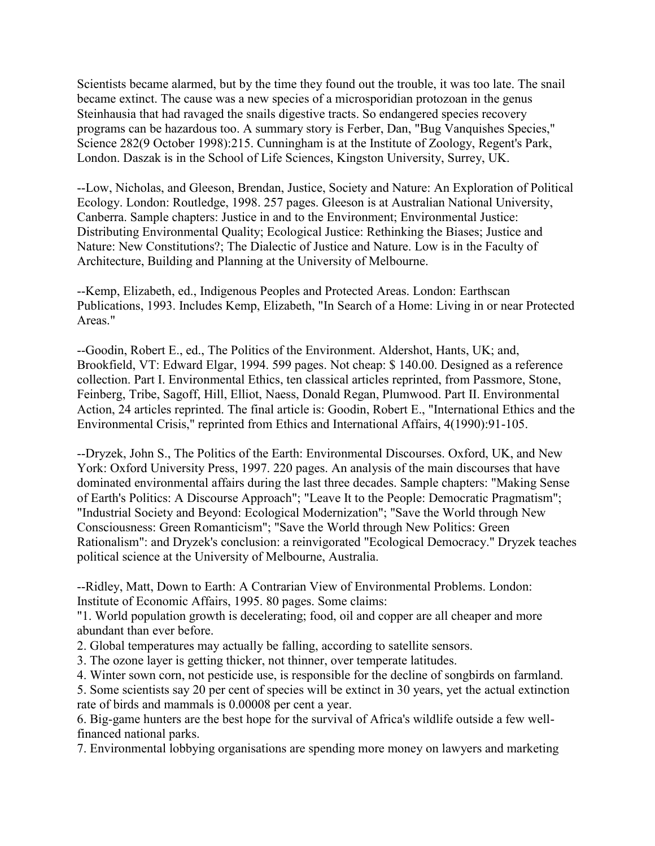Scientists became alarmed, but by the time they found out the trouble, it was too late. The snail became extinct. The cause was a new species of a microsporidian protozoan in the genus Steinhausia that had ravaged the snails digestive tracts. So endangered species recovery programs can be hazardous too. A summary story is Ferber, Dan, "Bug Vanquishes Species," Science 282(9 October 1998):215. Cunningham is at the Institute of Zoology, Regent's Park, London. Daszak is in the School of Life Sciences, Kingston University, Surrey, UK.

--Low, Nicholas, and Gleeson, Brendan, Justice, Society and Nature: An Exploration of Political Ecology. London: Routledge, 1998. 257 pages. Gleeson is at Australian National University, Canberra. Sample chapters: Justice in and to the Environment; Environmental Justice: Distributing Environmental Quality; Ecological Justice: Rethinking the Biases; Justice and Nature: New Constitutions?; The Dialectic of Justice and Nature. Low is in the Faculty of Architecture, Building and Planning at the University of Melbourne.

--Kemp, Elizabeth, ed., Indigenous Peoples and Protected Areas. London: Earthscan Publications, 1993. Includes Kemp, Elizabeth, "In Search of a Home: Living in or near Protected Areas."

--Goodin, Robert E., ed., The Politics of the Environment. Aldershot, Hants, UK; and, Brookfield, VT: Edward Elgar, 1994. 599 pages. Not cheap: \$ 140.00. Designed as a reference collection. Part I. Environmental Ethics, ten classical articles reprinted, from Passmore, Stone, Feinberg, Tribe, Sagoff, Hill, Elliot, Naess, Donald Regan, Plumwood. Part II. Environmental Action, 24 articles reprinted. The final article is: Goodin, Robert E., "International Ethics and the Environmental Crisis," reprinted from Ethics and International Affairs, 4(1990):91-105.

--Dryzek, John S., The Politics of the Earth: Environmental Discourses. Oxford, UK, and New York: Oxford University Press, 1997. 220 pages. An analysis of the main discourses that have dominated environmental affairs during the last three decades. Sample chapters: "Making Sense of Earth's Politics: A Discourse Approach"; "Leave It to the People: Democratic Pragmatism"; "Industrial Society and Beyond: Ecological Modernization"; "Save the World through New Consciousness: Green Romanticism"; "Save the World through New Politics: Green Rationalism": and Dryzek's conclusion: a reinvigorated "Ecological Democracy." Dryzek teaches political science at the University of Melbourne, Australia.

--Ridley, Matt, Down to Earth: A Contrarian View of Environmental Problems. London: Institute of Economic Affairs, 1995. 80 pages. Some claims:

"1. World population growth is decelerating; food, oil and copper are all cheaper and more abundant than ever before.

2. Global temperatures may actually be falling, according to satellite sensors.

3. The ozone layer is getting thicker, not thinner, over temperate latitudes.

4. Winter sown corn, not pesticide use, is responsible for the decline of songbirds on farmland.

5. Some scientists say 20 per cent of species will be extinct in 30 years, yet the actual extinction rate of birds and mammals is 0.00008 per cent a year.

6. Big-game hunters are the best hope for the survival of Africa's wildlife outside a few wellfinanced national parks.

7. Environmental lobbying organisations are spending more money on lawyers and marketing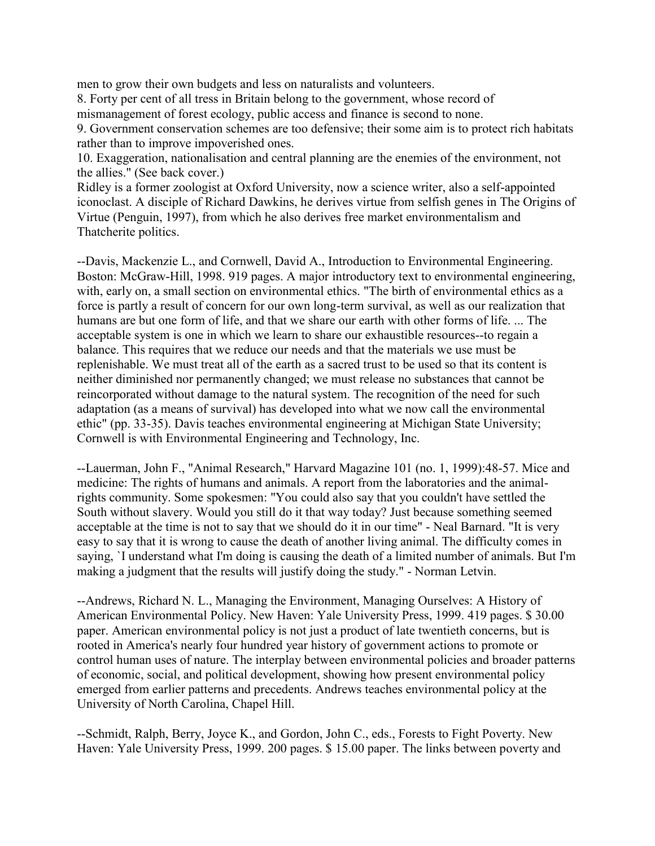men to grow their own budgets and less on naturalists and volunteers.

8. Forty per cent of all tress in Britain belong to the government, whose record of mismanagement of forest ecology, public access and finance is second to none.

9. Government conservation schemes are too defensive; their some aim is to protect rich habitats rather than to improve impoverished ones.

10. Exaggeration, nationalisation and central planning are the enemies of the environment, not the allies." (See back cover.)

Ridley is a former zoologist at Oxford University, now a science writer, also a self-appointed iconoclast. A disciple of Richard Dawkins, he derives virtue from selfish genes in The Origins of Virtue (Penguin, 1997), from which he also derives free market environmentalism and Thatcherite politics.

--Davis, Mackenzie L., and Cornwell, David A., Introduction to Environmental Engineering. Boston: McGraw-Hill, 1998. 919 pages. A major introductory text to environmental engineering, with, early on, a small section on environmental ethics. "The birth of environmental ethics as a force is partly a result of concern for our own long-term survival, as well as our realization that humans are but one form of life, and that we share our earth with other forms of life. ... The acceptable system is one in which we learn to share our exhaustible resources--to regain a balance. This requires that we reduce our needs and that the materials we use must be replenishable. We must treat all of the earth as a sacred trust to be used so that its content is neither diminished nor permanently changed; we must release no substances that cannot be reincorporated without damage to the natural system. The recognition of the need for such adaptation (as a means of survival) has developed into what we now call the environmental ethic" (pp. 33-35). Davis teaches environmental engineering at Michigan State University; Cornwell is with Environmental Engineering and Technology, Inc.

--Lauerman, John F., "Animal Research," Harvard Magazine 101 (no. 1, 1999):48-57. Mice and medicine: The rights of humans and animals. A report from the laboratories and the animalrights community. Some spokesmen: "You could also say that you couldn't have settled the South without slavery. Would you still do it that way today? Just because something seemed acceptable at the time is not to say that we should do it in our time" - Neal Barnard. "It is very easy to say that it is wrong to cause the death of another living animal. The difficulty comes in saying, `I understand what I'm doing is causing the death of a limited number of animals. But I'm making a judgment that the results will justify doing the study." - Norman Letvin.

--Andrews, Richard N. L., Managing the Environment, Managing Ourselves: A History of American Environmental Policy. New Haven: Yale University Press, 1999. 419 pages. \$ 30.00 paper. American environmental policy is not just a product of late twentieth concerns, but is rooted in America's nearly four hundred year history of government actions to promote or control human uses of nature. The interplay between environmental policies and broader patterns of economic, social, and political development, showing how present environmental policy emerged from earlier patterns and precedents. Andrews teaches environmental policy at the University of North Carolina, Chapel Hill.

--Schmidt, Ralph, Berry, Joyce K., and Gordon, John C., eds., Forests to Fight Poverty. New Haven: Yale University Press, 1999. 200 pages. \$ 15.00 paper. The links between poverty and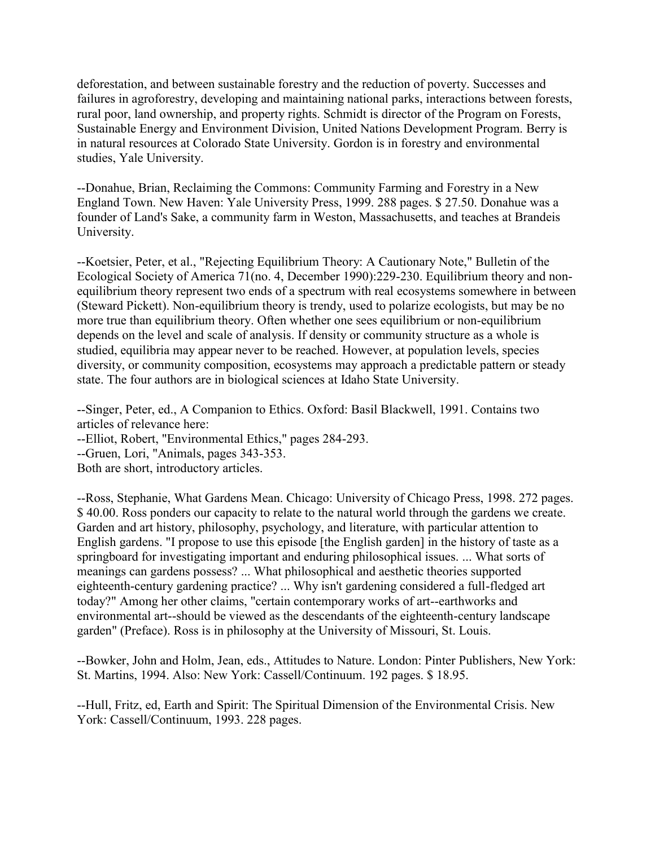deforestation, and between sustainable forestry and the reduction of poverty. Successes and failures in agroforestry, developing and maintaining national parks, interactions between forests, rural poor, land ownership, and property rights. Schmidt is director of the Program on Forests, Sustainable Energy and Environment Division, United Nations Development Program. Berry is in natural resources at Colorado State University. Gordon is in forestry and environmental studies, Yale University.

--Donahue, Brian, Reclaiming the Commons: Community Farming and Forestry in a New England Town. New Haven: Yale University Press, 1999. 288 pages. \$ 27.50. Donahue was a founder of Land's Sake, a community farm in Weston, Massachusetts, and teaches at Brandeis University.

--Koetsier, Peter, et al., "Rejecting Equilibrium Theory: A Cautionary Note," Bulletin of the Ecological Society of America 71(no. 4, December 1990):229-230. Equilibrium theory and nonequilibrium theory represent two ends of a spectrum with real ecosystems somewhere in between (Steward Pickett). Non-equilibrium theory is trendy, used to polarize ecologists, but may be no more true than equilibrium theory. Often whether one sees equilibrium or non-equilibrium depends on the level and scale of analysis. If density or community structure as a whole is studied, equilibria may appear never to be reached. However, at population levels, species diversity, or community composition, ecosystems may approach a predictable pattern or steady state. The four authors are in biological sciences at Idaho State University.

--Singer, Peter, ed., A Companion to Ethics. Oxford: Basil Blackwell, 1991. Contains two articles of relevance here:

--Elliot, Robert, "Environmental Ethics," pages 284-293.

--Gruen, Lori, "Animals, pages 343-353.

Both are short, introductory articles.

--Ross, Stephanie, What Gardens Mean. Chicago: University of Chicago Press, 1998. 272 pages. \$ 40.00. Ross ponders our capacity to relate to the natural world through the gardens we create. Garden and art history, philosophy, psychology, and literature, with particular attention to English gardens. "I propose to use this episode [the English garden] in the history of taste as a springboard for investigating important and enduring philosophical issues. ... What sorts of meanings can gardens possess? ... What philosophical and aesthetic theories supported eighteenth-century gardening practice? ... Why isn't gardening considered a full-fledged art today?" Among her other claims, "certain contemporary works of art--earthworks and environmental art--should be viewed as the descendants of the eighteenth-century landscape garden" (Preface). Ross is in philosophy at the University of Missouri, St. Louis.

--Bowker, John and Holm, Jean, eds., Attitudes to Nature. London: Pinter Publishers, New York: St. Martins, 1994. Also: New York: Cassell/Continuum. 192 pages. \$ 18.95.

--Hull, Fritz, ed, Earth and Spirit: The Spiritual Dimension of the Environmental Crisis. New York: Cassell/Continuum, 1993. 228 pages.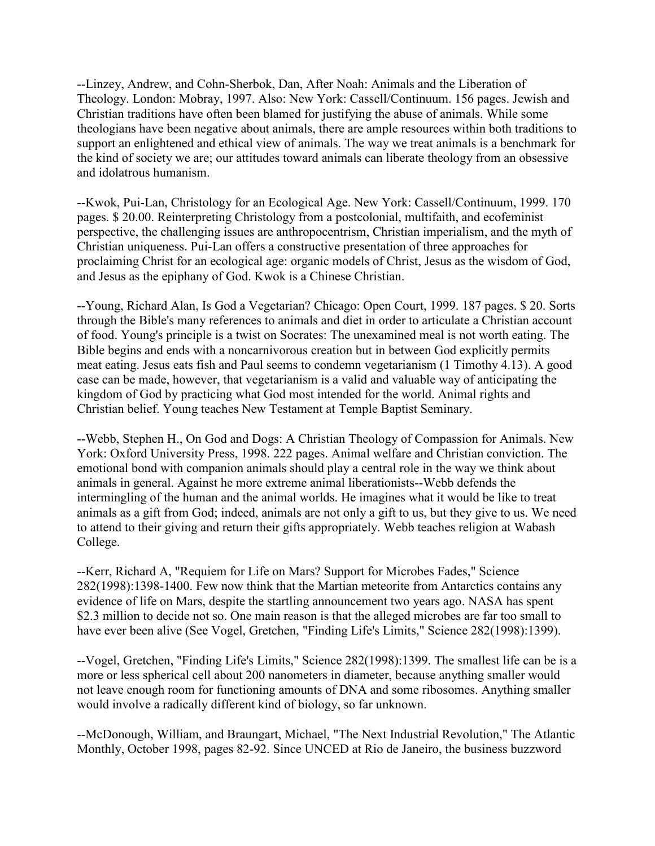--Linzey, Andrew, and Cohn-Sherbok, Dan, After Noah: Animals and the Liberation of Theology. London: Mobray, 1997. Also: New York: Cassell/Continuum. 156 pages. Jewish and Christian traditions have often been blamed for justifying the abuse of animals. While some theologians have been negative about animals, there are ample resources within both traditions to support an enlightened and ethical view of animals. The way we treat animals is a benchmark for the kind of society we are; our attitudes toward animals can liberate theology from an obsessive and idolatrous humanism.

--Kwok, Pui-Lan, Christology for an Ecological Age. New York: Cassell/Continuum, 1999. 170 pages. \$ 20.00. Reinterpreting Christology from a postcolonial, multifaith, and ecofeminist perspective, the challenging issues are anthropocentrism, Christian imperialism, and the myth of Christian uniqueness. Pui-Lan offers a constructive presentation of three approaches for proclaiming Christ for an ecological age: organic models of Christ, Jesus as the wisdom of God, and Jesus as the epiphany of God. Kwok is a Chinese Christian.

--Young, Richard Alan, Is God a Vegetarian? Chicago: Open Court, 1999. 187 pages. \$ 20. Sorts through the Bible's many references to animals and diet in order to articulate a Christian account of food. Young's principle is a twist on Socrates: The unexamined meal is not worth eating. The Bible begins and ends with a noncarnivorous creation but in between God explicitly permits meat eating. Jesus eats fish and Paul seems to condemn vegetarianism (1 Timothy 4.13). A good case can be made, however, that vegetarianism is a valid and valuable way of anticipating the kingdom of God by practicing what God most intended for the world. Animal rights and Christian belief. Young teaches New Testament at Temple Baptist Seminary.

--Webb, Stephen H., On God and Dogs: A Christian Theology of Compassion for Animals. New York: Oxford University Press, 1998. 222 pages. Animal welfare and Christian conviction. The emotional bond with companion animals should play a central role in the way we think about animals in general. Against he more extreme animal liberationists--Webb defends the intermingling of the human and the animal worlds. He imagines what it would be like to treat animals as a gift from God; indeed, animals are not only a gift to us, but they give to us. We need to attend to their giving and return their gifts appropriately. Webb teaches religion at Wabash College.

--Kerr, Richard A, "Requiem for Life on Mars? Support for Microbes Fades," Science 282(1998):1398-1400. Few now think that the Martian meteorite from Antarctics contains any evidence of life on Mars, despite the startling announcement two years ago. NASA has spent \$2.3 million to decide not so. One main reason is that the alleged microbes are far too small to have ever been alive (See Vogel, Gretchen, "Finding Life's Limits," Science 282(1998):1399).

--Vogel, Gretchen, "Finding Life's Limits," Science 282(1998):1399. The smallest life can be is a more or less spherical cell about 200 nanometers in diameter, because anything smaller would not leave enough room for functioning amounts of DNA and some ribosomes. Anything smaller would involve a radically different kind of biology, so far unknown.

--McDonough, William, and Braungart, Michael, "The Next Industrial Revolution," The Atlantic Monthly, October 1998, pages 82-92. Since UNCED at Rio de Janeiro, the business buzzword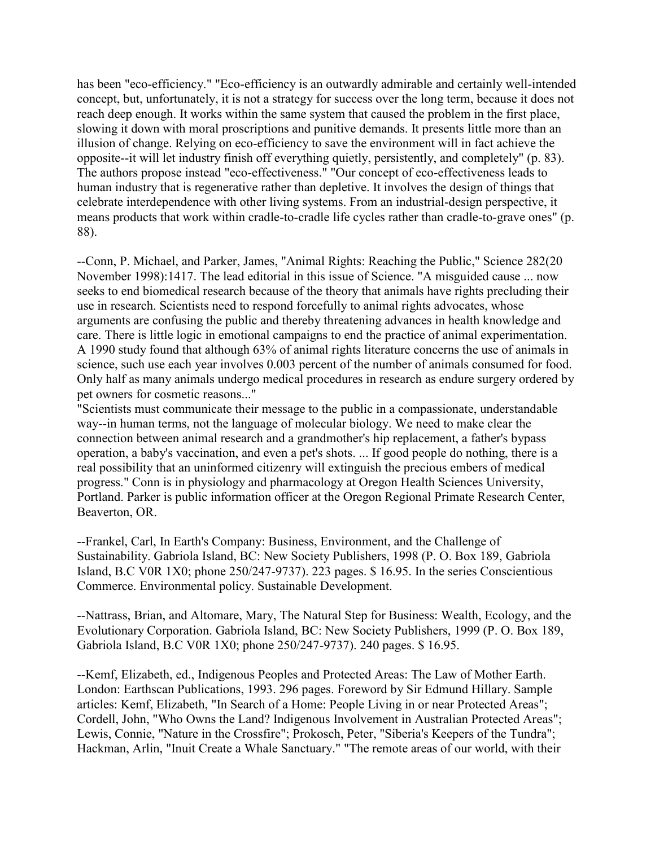has been "eco-efficiency." "Eco-efficiency is an outwardly admirable and certainly well-intended concept, but, unfortunately, it is not a strategy for success over the long term, because it does not reach deep enough. It works within the same system that caused the problem in the first place, slowing it down with moral proscriptions and punitive demands. It presents little more than an illusion of change. Relying on eco-efficiency to save the environment will in fact achieve the opposite--it will let industry finish off everything quietly, persistently, and completely" (p. 83). The authors propose instead "eco-effectiveness." "Our concept of eco-effectiveness leads to human industry that is regenerative rather than depletive. It involves the design of things that celebrate interdependence with other living systems. From an industrial-design perspective, it means products that work within cradle-to-cradle life cycles rather than cradle-to-grave ones" (p. 88).

--Conn, P. Michael, and Parker, James, "Animal Rights: Reaching the Public," Science 282(20 November 1998):1417. The lead editorial in this issue of Science. "A misguided cause ... now seeks to end biomedical research because of the theory that animals have rights precluding their use in research. Scientists need to respond forcefully to animal rights advocates, whose arguments are confusing the public and thereby threatening advances in health knowledge and care. There is little logic in emotional campaigns to end the practice of animal experimentation. A 1990 study found that although 63% of animal rights literature concerns the use of animals in science, such use each year involves 0.003 percent of the number of animals consumed for food. Only half as many animals undergo medical procedures in research as endure surgery ordered by pet owners for cosmetic reasons..."

"Scientists must communicate their message to the public in a compassionate, understandable way--in human terms, not the language of molecular biology. We need to make clear the connection between animal research and a grandmother's hip replacement, a father's bypass operation, a baby's vaccination, and even a pet's shots. ... If good people do nothing, there is a real possibility that an uninformed citizenry will extinguish the precious embers of medical progress." Conn is in physiology and pharmacology at Oregon Health Sciences University, Portland. Parker is public information officer at the Oregon Regional Primate Research Center, Beaverton, OR.

--Frankel, Carl, In Earth's Company: Business, Environment, and the Challenge of Sustainability. Gabriola Island, BC: New Society Publishers, 1998 (P. O. Box 189, Gabriola Island, B.C V0R 1X0; phone 250/247-9737). 223 pages. \$ 16.95. In the series Conscientious Commerce. Environmental policy. Sustainable Development.

--Nattrass, Brian, and Altomare, Mary, The Natural Step for Business: Wealth, Ecology, and the Evolutionary Corporation. Gabriola Island, BC: New Society Publishers, 1999 (P. O. Box 189, Gabriola Island, B.C V0R 1X0; phone 250/247-9737). 240 pages. \$ 16.95.

--Kemf, Elizabeth, ed., Indigenous Peoples and Protected Areas: The Law of Mother Earth. London: Earthscan Publications, 1993. 296 pages. Foreword by Sir Edmund Hillary. Sample articles: Kemf, Elizabeth, "In Search of a Home: People Living in or near Protected Areas"; Cordell, John, "Who Owns the Land? Indigenous Involvement in Australian Protected Areas"; Lewis, Connie, "Nature in the Crossfire"; Prokosch, Peter, "Siberia's Keepers of the Tundra"; Hackman, Arlin, "Inuit Create a Whale Sanctuary." "The remote areas of our world, with their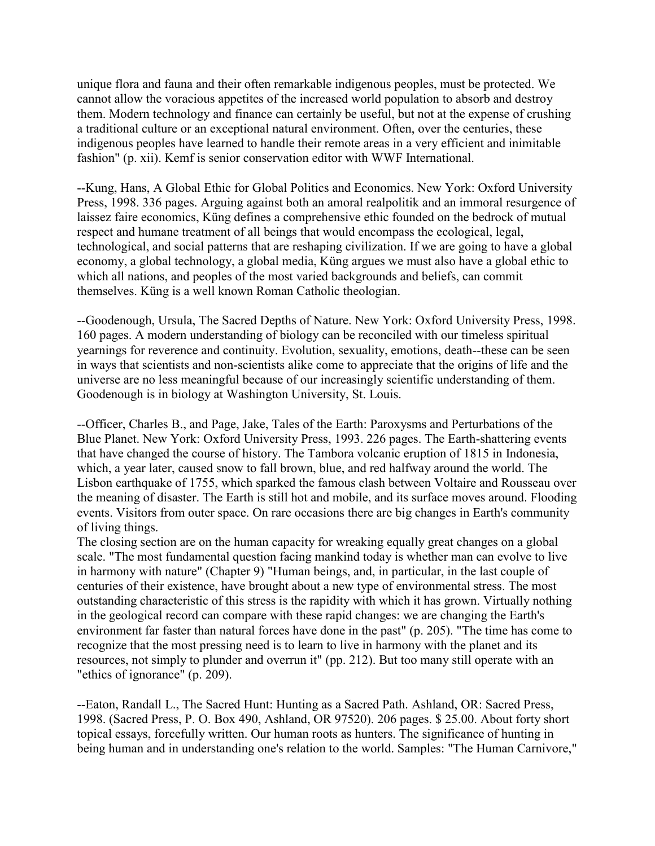unique flora and fauna and their often remarkable indigenous peoples, must be protected. We cannot allow the voracious appetites of the increased world population to absorb and destroy them. Modern technology and finance can certainly be useful, but not at the expense of crushing a traditional culture or an exceptional natural environment. Often, over the centuries, these indigenous peoples have learned to handle their remote areas in a very efficient and inimitable fashion" (p. xii). Kemf is senior conservation editor with WWF International.

--Kung, Hans, A Global Ethic for Global Politics and Economics. New York: Oxford University Press, 1998. 336 pages. Arguing against both an amoral realpolitik and an immoral resurgence of laissez faire economics, Küng defines a comprehensive ethic founded on the bedrock of mutual respect and humane treatment of all beings that would encompass the ecological, legal, technological, and social patterns that are reshaping civilization. If we are going to have a global economy, a global technology, a global media, Küng argues we must also have a global ethic to which all nations, and peoples of the most varied backgrounds and beliefs, can commit themselves. Küng is a well known Roman Catholic theologian.

--Goodenough, Ursula, The Sacred Depths of Nature. New York: Oxford University Press, 1998. 160 pages. A modern understanding of biology can be reconciled with our timeless spiritual yearnings for reverence and continuity. Evolution, sexuality, emotions, death--these can be seen in ways that scientists and non-scientists alike come to appreciate that the origins of life and the universe are no less meaningful because of our increasingly scientific understanding of them. Goodenough is in biology at Washington University, St. Louis.

--Officer, Charles B., and Page, Jake, Tales of the Earth: Paroxysms and Perturbations of the Blue Planet. New York: Oxford University Press, 1993. 226 pages. The Earth-shattering events that have changed the course of history. The Tambora volcanic eruption of 1815 in Indonesia, which, a year later, caused snow to fall brown, blue, and red halfway around the world. The Lisbon earthquake of 1755, which sparked the famous clash between Voltaire and Rousseau over the meaning of disaster. The Earth is still hot and mobile, and its surface moves around. Flooding events. Visitors from outer space. On rare occasions there are big changes in Earth's community of living things.

The closing section are on the human capacity for wreaking equally great changes on a global scale. "The most fundamental question facing mankind today is whether man can evolve to live in harmony with nature" (Chapter 9) "Human beings, and, in particular, in the last couple of centuries of their existence, have brought about a new type of environmental stress. The most outstanding characteristic of this stress is the rapidity with which it has grown. Virtually nothing in the geological record can compare with these rapid changes: we are changing the Earth's environment far faster than natural forces have done in the past" (p. 205). "The time has come to recognize that the most pressing need is to learn to live in harmony with the planet and its resources, not simply to plunder and overrun it" (pp. 212). But too many still operate with an "ethics of ignorance" (p. 209).

--Eaton, Randall L., The Sacred Hunt: Hunting as a Sacred Path. Ashland, OR: Sacred Press, 1998. (Sacred Press, P. O. Box 490, Ashland, OR 97520). 206 pages. \$ 25.00. About forty short topical essays, forcefully written. Our human roots as hunters. The significance of hunting in being human and in understanding one's relation to the world. Samples: "The Human Carnivore,"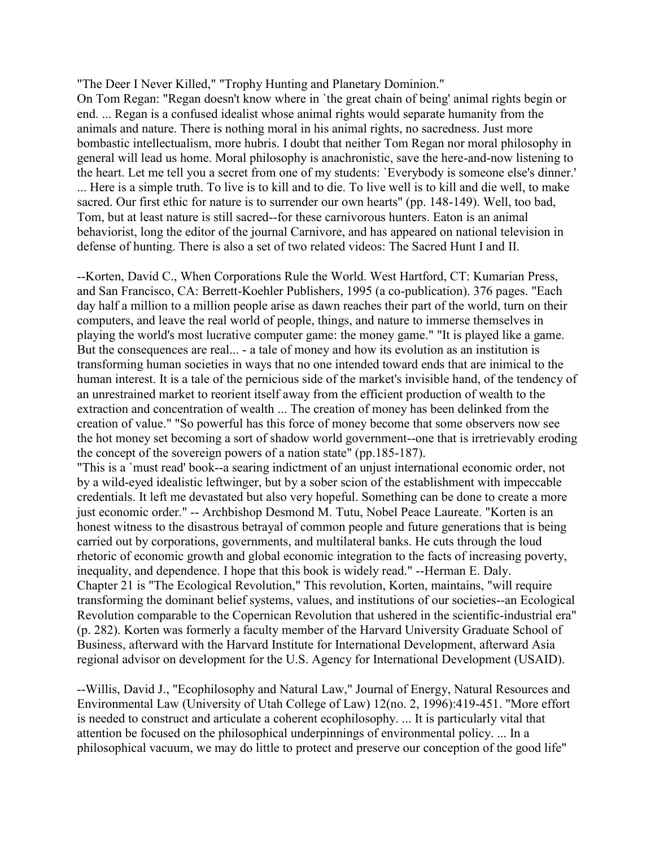"The Deer I Never Killed," "Trophy Hunting and Planetary Dominion."

On Tom Regan: "Regan doesn't know where in `the great chain of being' animal rights begin or end. ... Regan is a confused idealist whose animal rights would separate humanity from the animals and nature. There is nothing moral in his animal rights, no sacredness. Just more bombastic intellectualism, more hubris. I doubt that neither Tom Regan nor moral philosophy in general will lead us home. Moral philosophy is anachronistic, save the here-and-now listening to the heart. Let me tell you a secret from one of my students: `Everybody is someone else's dinner.' ... Here is a simple truth. To live is to kill and to die. To live well is to kill and die well, to make sacred. Our first ethic for nature is to surrender our own hearts" (pp. 148-149). Well, too bad, Tom, but at least nature is still sacred--for these carnivorous hunters. Eaton is an animal behaviorist, long the editor of the journal Carnivore, and has appeared on national television in defense of hunting. There is also a set of two related videos: The Sacred Hunt I and II.

--Korten, David C., When Corporations Rule the World. West Hartford, CT: Kumarian Press, and San Francisco, CA: Berrett-Koehler Publishers, 1995 (a co-publication). 376 pages. "Each day half a million to a million people arise as dawn reaches their part of the world, turn on their computers, and leave the real world of people, things, and nature to immerse themselves in playing the world's most lucrative computer game: the money game." "It is played like a game. But the consequences are real... - a tale of money and how its evolution as an institution is transforming human societies in ways that no one intended toward ends that are inimical to the human interest. It is a tale of the pernicious side of the market's invisible hand, of the tendency of an unrestrained market to reorient itself away from the efficient production of wealth to the extraction and concentration of wealth ... The creation of money has been delinked from the creation of value." "So powerful has this force of money become that some observers now see the hot money set becoming a sort of shadow world government--one that is irretrievably eroding the concept of the sovereign powers of a nation state" (pp.185-187).

"This is a `must read' book--a searing indictment of an unjust international economic order, not by a wild-eyed idealistic leftwinger, but by a sober scion of the establishment with impeccable credentials. It left me devastated but also very hopeful. Something can be done to create a more just economic order." -- Archbishop Desmond M. Tutu, Nobel Peace Laureate. "Korten is an honest witness to the disastrous betrayal of common people and future generations that is being carried out by corporations, governments, and multilateral banks. He cuts through the loud rhetoric of economic growth and global economic integration to the facts of increasing poverty, inequality, and dependence. I hope that this book is widely read." --Herman E. Daly. Chapter 21 is "The Ecological Revolution," This revolution, Korten, maintains, "will require transforming the dominant belief systems, values, and institutions of our societies--an Ecological Revolution comparable to the Copernican Revolution that ushered in the scientific-industrial era" (p. 282). Korten was formerly a faculty member of the Harvard University Graduate School of Business, afterward with the Harvard Institute for International Development, afterward Asia regional advisor on development for the U.S. Agency for International Development (USAID).

--Willis, David J., "Ecophilosophy and Natural Law," Journal of Energy, Natural Resources and Environmental Law (University of Utah College of Law) 12(no. 2, 1996):419-451. "More effort is needed to construct and articulate a coherent ecophilosophy. ... It is particularly vital that attention be focused on the philosophical underpinnings of environmental policy. ... In a philosophical vacuum, we may do little to protect and preserve our conception of the good life"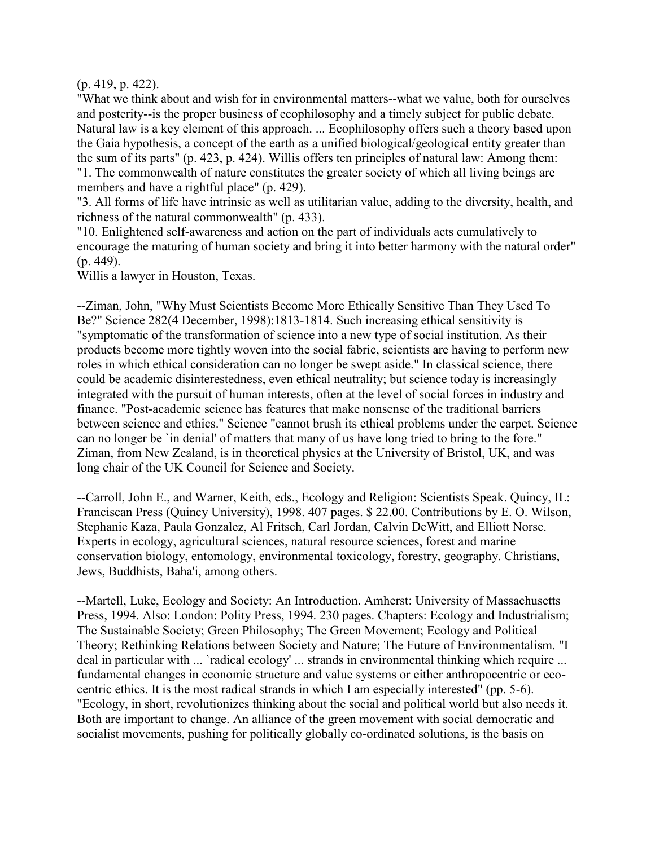(p. 419, p. 422).

"What we think about and wish for in environmental matters--what we value, both for ourselves and posterity--is the proper business of ecophilosophy and a timely subject for public debate. Natural law is a key element of this approach. ... Ecophilosophy offers such a theory based upon the Gaia hypothesis, a concept of the earth as a unified biological/geological entity greater than the sum of its parts" (p. 423, p. 424). Willis offers ten principles of natural law: Among them: "1. The commonwealth of nature constitutes the greater society of which all living beings are members and have a rightful place" (p. 429).

"3. All forms of life have intrinsic as well as utilitarian value, adding to the diversity, health, and richness of the natural commonwealth" (p. 433).

"10. Enlightened self-awareness and action on the part of individuals acts cumulatively to encourage the maturing of human society and bring it into better harmony with the natural order" (p. 449).

Willis a lawyer in Houston, Texas.

--Ziman, John, "Why Must Scientists Become More Ethically Sensitive Than They Used To Be?" Science 282(4 December, 1998):1813-1814. Such increasing ethical sensitivity is "symptomatic of the transformation of science into a new type of social institution. As their products become more tightly woven into the social fabric, scientists are having to perform new roles in which ethical consideration can no longer be swept aside." In classical science, there could be academic disinterestedness, even ethical neutrality; but science today is increasingly integrated with the pursuit of human interests, often at the level of social forces in industry and finance. "Post-academic science has features that make nonsense of the traditional barriers between science and ethics." Science "cannot brush its ethical problems under the carpet. Science can no longer be `in denial' of matters that many of us have long tried to bring to the fore." Ziman, from New Zealand, is in theoretical physics at the University of Bristol, UK, and was long chair of the UK Council for Science and Society.

--Carroll, John E., and Warner, Keith, eds., Ecology and Religion: Scientists Speak. Quincy, IL: Franciscan Press (Quincy University), 1998. 407 pages. \$ 22.00. Contributions by E. O. Wilson, Stephanie Kaza, Paula Gonzalez, Al Fritsch, Carl Jordan, Calvin DeWitt, and Elliott Norse. Experts in ecology, agricultural sciences, natural resource sciences, forest and marine conservation biology, entomology, environmental toxicology, forestry, geography. Christians, Jews, Buddhists, Baha'i, among others.

--Martell, Luke, Ecology and Society: An Introduction. Amherst: University of Massachusetts Press, 1994. Also: London: Polity Press, 1994. 230 pages. Chapters: Ecology and Industrialism; The Sustainable Society; Green Philosophy; The Green Movement; Ecology and Political Theory; Rethinking Relations between Society and Nature; The Future of Environmentalism. "I deal in particular with ... `radical ecology' ... strands in environmental thinking which require ... fundamental changes in economic structure and value systems or either anthropocentric or ecocentric ethics. It is the most radical strands in which I am especially interested" (pp. 5-6). "Ecology, in short, revolutionizes thinking about the social and political world but also needs it. Both are important to change. An alliance of the green movement with social democratic and socialist movements, pushing for politically globally co-ordinated solutions, is the basis on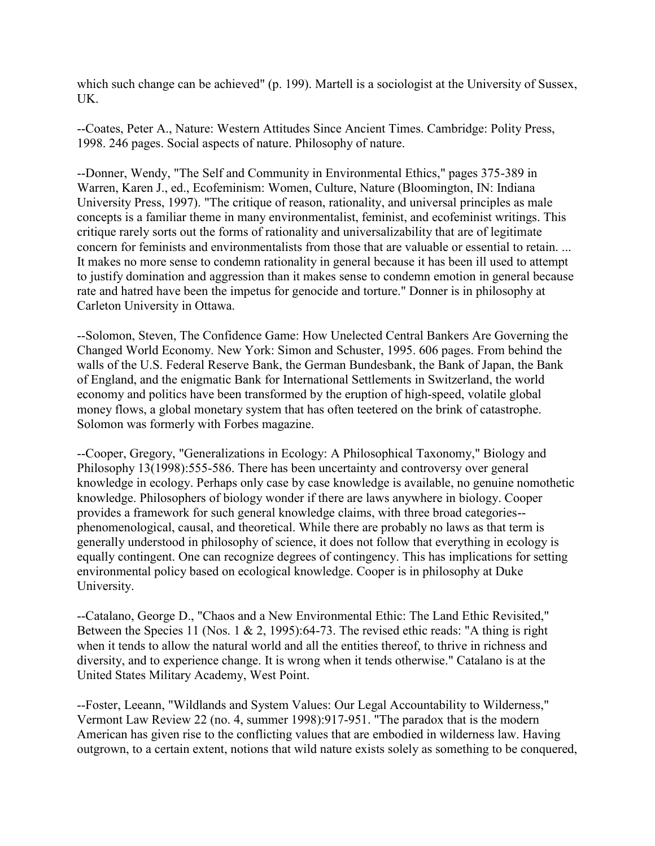which such change can be achieved" (p. 199). Martell is a sociologist at the University of Sussex, UK.

--Coates, Peter A., Nature: Western Attitudes Since Ancient Times. Cambridge: Polity Press, 1998. 246 pages. Social aspects of nature. Philosophy of nature.

--Donner, Wendy, "The Self and Community in Environmental Ethics," pages 375-389 in Warren, Karen J., ed., Ecofeminism: Women, Culture, Nature (Bloomington, IN: Indiana University Press, 1997). "The critique of reason, rationality, and universal principles as male concepts is a familiar theme in many environmentalist, feminist, and ecofeminist writings. This critique rarely sorts out the forms of rationality and universalizability that are of legitimate concern for feminists and environmentalists from those that are valuable or essential to retain. ... It makes no more sense to condemn rationality in general because it has been ill used to attempt to justify domination and aggression than it makes sense to condemn emotion in general because rate and hatred have been the impetus for genocide and torture." Donner is in philosophy at Carleton University in Ottawa.

--Solomon, Steven, The Confidence Game: How Unelected Central Bankers Are Governing the Changed World Economy. New York: Simon and Schuster, 1995. 606 pages. From behind the walls of the U.S. Federal Reserve Bank, the German Bundesbank, the Bank of Japan, the Bank of England, and the enigmatic Bank for International Settlements in Switzerland, the world economy and politics have been transformed by the eruption of high-speed, volatile global money flows, a global monetary system that has often teetered on the brink of catastrophe. Solomon was formerly with Forbes magazine.

--Cooper, Gregory, "Generalizations in Ecology: A Philosophical Taxonomy," Biology and Philosophy 13(1998):555-586. There has been uncertainty and controversy over general knowledge in ecology. Perhaps only case by case knowledge is available, no genuine nomothetic knowledge. Philosophers of biology wonder if there are laws anywhere in biology. Cooper provides a framework for such general knowledge claims, with three broad categories- phenomenological, causal, and theoretical. While there are probably no laws as that term is generally understood in philosophy of science, it does not follow that everything in ecology is equally contingent. One can recognize degrees of contingency. This has implications for setting environmental policy based on ecological knowledge. Cooper is in philosophy at Duke University.

--Catalano, George D., "Chaos and a New Environmental Ethic: The Land Ethic Revisited," Between the Species 11 (Nos. 1 & 2, 1995):64-73. The revised ethic reads: "A thing is right when it tends to allow the natural world and all the entities thereof, to thrive in richness and diversity, and to experience change. It is wrong when it tends otherwise." Catalano is at the United States Military Academy, West Point.

--Foster, Leeann, "Wildlands and System Values: Our Legal Accountability to Wilderness," Vermont Law Review 22 (no. 4, summer 1998):917-951. "The paradox that is the modern American has given rise to the conflicting values that are embodied in wilderness law. Having outgrown, to a certain extent, notions that wild nature exists solely as something to be conquered,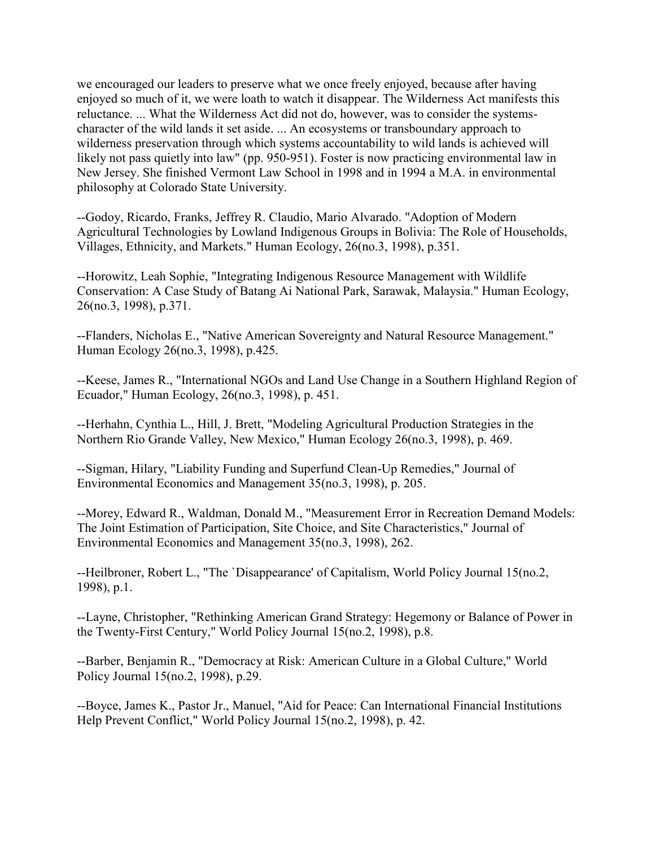we encouraged our leaders to preserve what we once freely enjoyed, because after having enjoyed so much of it, we were loath to watch it disappear. The Wilderness Act manifests this reluctance. ... What the Wilderness Act did not do, however, was to consider the systemscharacter of the wild lands it set aside. ... An ecosystems or transboundary approach to wilderness preservation through which systems accountability to wild lands is achieved will likely not pass quietly into law" (pp. 950-951). Foster is now practicing environmental law in New Jersey. She finished Vermont Law School in 1998 and in 1994 a M.A. in environmental philosophy at Colorado State University.

--Godoy, Ricardo, Franks, Jeffrey R. Claudio, Mario Alvarado. "Adoption of Modern Agricultural Technologies by Lowland Indigenous Groups in Bolivia: The Role of Households, Villages, Ethnicity, and Markets." Human Ecology, 26(no.3, 1998), p.351.

--Horowitz, Leah Sophie, "Integrating Indigenous Resource Management with Wildlife Conservation: A Case Study of Batang Ai National Park, Sarawak, Malaysia." Human Ecology, 26(no.3, 1998), p.371.

--Flanders, Nicholas E., "Native American Sovereignty and Natural Resource Management." Human Ecology 26(no.3, 1998), p.425.

--Keese, James R., "International NGOs and Land Use Change in a Southern Highland Region of Ecuador," Human Ecology, 26(no.3, 1998), p. 451.

--Herhahn, Cynthia L., Hill, J. Brett, "Modeling Agricultural Production Strategies in the Northern Rio Grande Valley, New Mexico," Human Ecology 26(no.3, 1998), p. 469.

--Sigman, Hilary, "Liability Funding and Superfund Clean-Up Remedies," Journal of Environmental Economics and Management 35(no.3, 1998), p. 205.

--Morey, Edward R., Waldman, Donald M., "Measurement Error in Recreation Demand Models: The Joint Estimation of Participation, Site Choice, and Site Characteristics," Journal of Environmental Economics and Management 35(no.3, 1998), 262.

--Heilbroner, Robert L., "The `Disappearance' of Capitalism, World Policy Journal 15(no.2, 1998), p.1.

--Layne, Christopher, "Rethinking American Grand Strategy: Hegemony or Balance of Power in the Twenty-First Century," World Policy Journal 15(no.2, 1998), p.8.

--Barber, Benjamin R., "Democracy at Risk: American Culture in a Global Culture," World Policy Journal 15(no.2, 1998), p.29.

--Boyce, James K., Pastor Jr., Manuel, "Aid for Peace: Can International Financial Institutions Help Prevent Conflict," World Policy Journal 15(no.2, 1998), p. 42.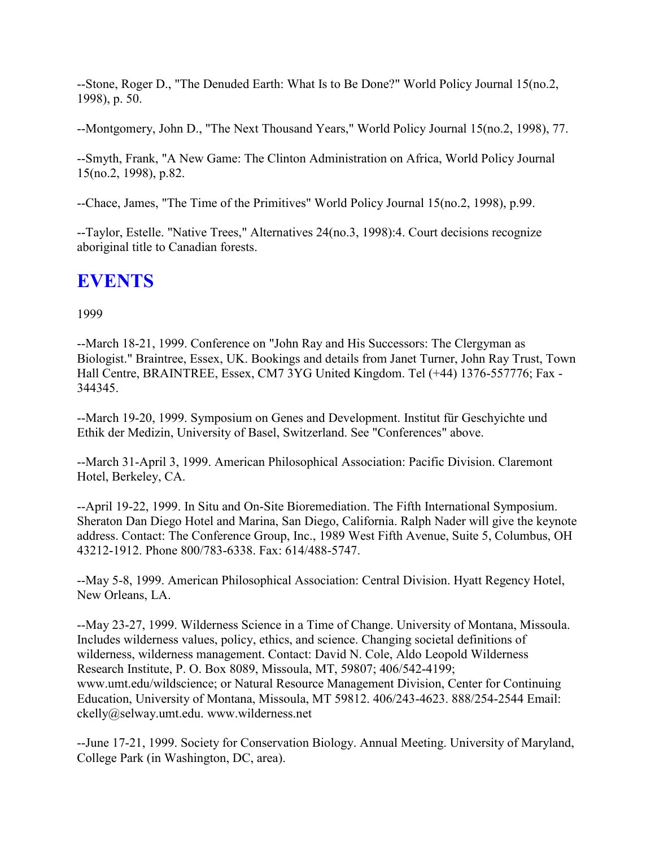--Stone, Roger D., "The Denuded Earth: What Is to Be Done?" World Policy Journal 15(no.2, 1998), p. 50.

--Montgomery, John D., "The Next Thousand Years," World Policy Journal 15(no.2, 1998), 77.

--Smyth, Frank, "A New Game: The Clinton Administration on Africa, World Policy Journal 15(no.2, 1998), p.82.

--Chace, James, "The Time of the Primitives" World Policy Journal 15(no.2, 1998), p.99.

--Taylor, Estelle. "Native Trees," Alternatives 24(no.3, 1998):4. Court decisions recognize aboriginal title to Canadian forests.

## **EVENTS**

1999

--March 18-21, 1999. Conference on "John Ray and His Successors: The Clergyman as Biologist." Braintree, Essex, UK. Bookings and details from Janet Turner, John Ray Trust, Town Hall Centre, BRAINTREE, Essex, CM7 3YG United Kingdom. Tel (+44) 1376-557776; Fax - 344345.

--March 19-20, 1999. Symposium on Genes and Development. Institut für Geschyichte und Ethik der Medizin, University of Basel, Switzerland. See "Conferences" above.

--March 31-April 3, 1999. American Philosophical Association: Pacific Division. Claremont Hotel, Berkeley, CA.

--April 19-22, 1999. In Situ and On-Site Bioremediation. The Fifth International Symposium. Sheraton Dan Diego Hotel and Marina, San Diego, California. Ralph Nader will give the keynote address. Contact: The Conference Group, Inc., 1989 West Fifth Avenue, Suite 5, Columbus, OH 43212-1912. Phone 800/783-6338. Fax: 614/488-5747.

--May 5-8, 1999. American Philosophical Association: Central Division. Hyatt Regency Hotel, New Orleans, LA.

--May 23-27, 1999. Wilderness Science in a Time of Change. University of Montana, Missoula. Includes wilderness values, policy, ethics, and science. Changing societal definitions of wilderness, wilderness management. Contact: David N. Cole, Aldo Leopold Wilderness Research Institute, P. O. Box 8089, Missoula, MT, 59807; 406/542-4199; www.umt.edu/wildscience; or Natural Resource Management Division, Center for Continuing Education, University of Montana, Missoula, MT 59812. 406/243-4623. 888/254-2544 Email: ckelly@selway.umt.edu. www.wilderness.net

--June 17-21, 1999. Society for Conservation Biology. Annual Meeting. University of Maryland, College Park (in Washington, DC, area).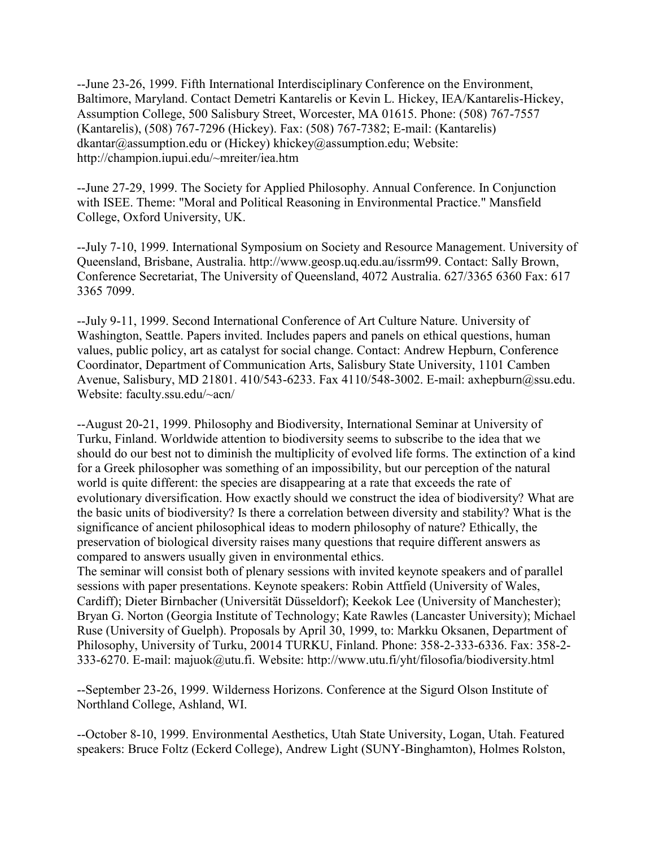--June 23-26, 1999. Fifth International Interdisciplinary Conference on the Environment, Baltimore, Maryland. Contact Demetri Kantarelis or Kevin L. Hickey, IEA/Kantarelis-Hickey, Assumption College, 500 Salisbury Street, Worcester, MA 01615. Phone: (508) 767-7557 (Kantarelis), (508) 767-7296 (Hickey). Fax: (508) 767-7382; E-mail: (Kantarelis) dkantar@assumption.edu or (Hickey) khickey@assumption.edu; Website: http://champion.iupui.edu/~mreiter/iea.htm

--June 27-29, 1999. The Society for Applied Philosophy. Annual Conference. In Conjunction with ISEE. Theme: "Moral and Political Reasoning in Environmental Practice." Mansfield College, Oxford University, UK.

--July 7-10, 1999. International Symposium on Society and Resource Management. University of Queensland, Brisbane, Australia. http://www.geosp.uq.edu.au/issrm99. Contact: Sally Brown, Conference Secretariat, The University of Queensland, 4072 Australia. 627/3365 6360 Fax: 617 3365 7099.

--July 9-11, 1999. Second International Conference of Art Culture Nature. University of Washington, Seattle. Papers invited. Includes papers and panels on ethical questions, human values, public policy, art as catalyst for social change. Contact: Andrew Hepburn, Conference Coordinator, Department of Communication Arts, Salisbury State University, 1101 Camben Avenue, Salisbury, MD 21801. 410/543-6233. Fax 4110/548-3002. E-mail: axhepburn@ssu.edu. Website: faculty.ssu.edu/~acn/

--August 20-21, 1999. Philosophy and Biodiversity, International Seminar at University of Turku, Finland. Worldwide attention to biodiversity seems to subscribe to the idea that we should do our best not to diminish the multiplicity of evolved life forms. The extinction of a kind for a Greek philosopher was something of an impossibility, but our perception of the natural world is quite different: the species are disappearing at a rate that exceeds the rate of evolutionary diversification. How exactly should we construct the idea of biodiversity? What are the basic units of biodiversity? Is there a correlation between diversity and stability? What is the significance of ancient philosophical ideas to modern philosophy of nature? Ethically, the preservation of biological diversity raises many questions that require different answers as compared to answers usually given in environmental ethics.

The seminar will consist both of plenary sessions with invited keynote speakers and of parallel sessions with paper presentations. Keynote speakers: Robin Attfield (University of Wales, Cardiff); Dieter Birnbacher (Universität Düsseldorf); Keekok Lee (University of Manchester); Bryan G. Norton (Georgia Institute of Technology; Kate Rawles (Lancaster University); Michael Ruse (University of Guelph). Proposals by April 30, 1999, to: Markku Oksanen, Department of Philosophy, University of Turku, 20014 TURKU, Finland. Phone: 358-2-333-6336. Fax: 358-2- 333-6270. E-mail: majuok@utu.fi. Website: http://www.utu.fi/yht/filosofia/biodiversity.html

--September 23-26, 1999. Wilderness Horizons. Conference at the Sigurd Olson Institute of Northland College, Ashland, WI.

--October 8-10, 1999. Environmental Aesthetics, Utah State University, Logan, Utah. Featured speakers: Bruce Foltz (Eckerd College), Andrew Light (SUNY-Binghamton), Holmes Rolston,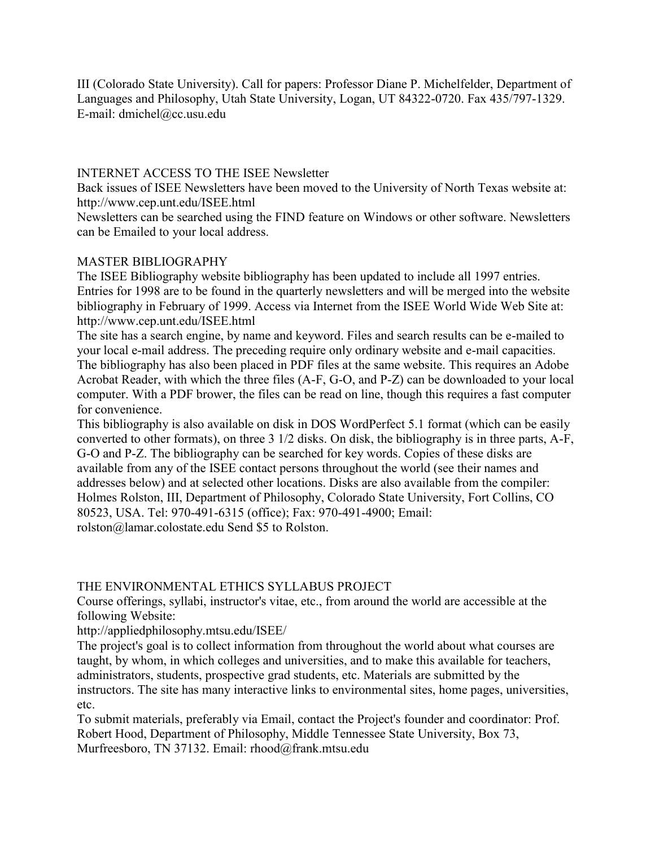III (Colorado State University). Call for papers: Professor Diane P. Michelfelder, Department of Languages and Philosophy, Utah State University, Logan, UT 84322-0720. Fax 435/797-1329. E-mail: dmichel@cc.usu.edu

## INTERNET ACCESS TO THE ISEE Newsletter

Back issues of ISEE Newsletters have been moved to the University of North Texas website at: http://www.cep.unt.edu/ISEE.html

Newsletters can be searched using the FIND feature on Windows or other software. Newsletters can be Emailed to your local address.

## MASTER BIBLIOGRAPHY

The ISEE Bibliography website bibliography has been updated to include all 1997 entries. Entries for 1998 are to be found in the quarterly newsletters and will be merged into the website bibliography in February of 1999. Access via Internet from the ISEE World Wide Web Site at: http://www.cep.unt.edu/ISEE.html

The site has a search engine, by name and keyword. Files and search results can be e-mailed to your local e-mail address. The preceding require only ordinary website and e-mail capacities. The bibliography has also been placed in PDF files at the same website. This requires an Adobe Acrobat Reader, with which the three files (A-F, G-O, and P-Z) can be downloaded to your local computer. With a PDF brower, the files can be read on line, though this requires a fast computer for convenience.

This bibliography is also available on disk in DOS WordPerfect 5.1 format (which can be easily converted to other formats), on three 3 1/2 disks. On disk, the bibliography is in three parts, A-F, G-O and P-Z. The bibliography can be searched for key words. Copies of these disks are available from any of the ISEE contact persons throughout the world (see their names and addresses below) and at selected other locations. Disks are also available from the compiler: Holmes Rolston, III, Department of Philosophy, Colorado State University, Fort Collins, CO 80523, USA. Tel: 970-491-6315 (office); Fax: 970-491-4900; Email: rolston@lamar.colostate.edu Send \$5 to Rolston.

## THE ENVIRONMENTAL ETHICS SYLLABUS PROJECT

Course offerings, syllabi, instructor's vitae, etc., from around the world are accessible at the following Website:

http://appliedphilosophy.mtsu.edu/ISEE/

The project's goal is to collect information from throughout the world about what courses are taught, by whom, in which colleges and universities, and to make this available for teachers, administrators, students, prospective grad students, etc. Materials are submitted by the instructors. The site has many interactive links to environmental sites, home pages, universities, etc.

To submit materials, preferably via Email, contact the Project's founder and coordinator: Prof. Robert Hood, Department of Philosophy, Middle Tennessee State University, Box 73, Murfreesboro, TN 37132. Email: rhood@frank.mtsu.edu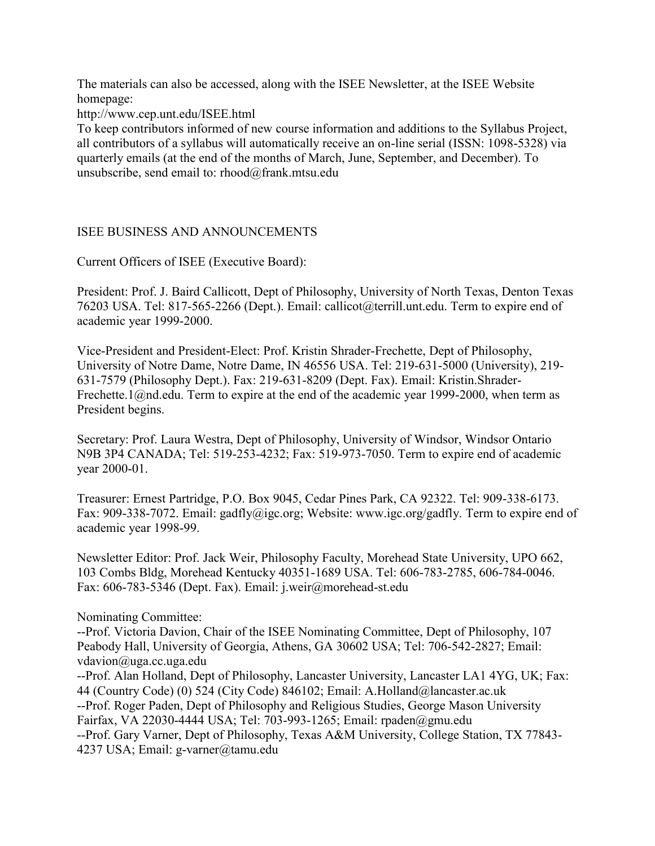The materials can also be accessed, along with the ISEE Newsletter, at the ISEE Website homepage:

http://www.cep.unt.edu/ISEE.html

To keep contributors informed of new course information and additions to the Syllabus Project, all contributors of a syllabus will automatically receive an on-line serial (ISSN: 1098-5328) via quarterly emails (at the end of the months of March, June, September, and December). To unsubscribe, send email to: rhood@frank.mtsu.edu

## ISEE BUSINESS AND ANNOUNCEMENTS

Current Officers of ISEE (Executive Board):

President: Prof. J. Baird Callicott, Dept of Philosophy, University of North Texas, Denton Texas 76203 USA. Tel: 817-565-2266 (Dept.). Email: callicot@terrill.unt.edu. Term to expire end of academic year 1999-2000.

Vice-President and President-Elect: Prof. Kristin Shrader-Frechette, Dept of Philosophy, University of Notre Dame, Notre Dame, IN 46556 USA. Tel: 219-631-5000 (University), 219- 631-7579 (Philosophy Dept.). Fax: 219-631-8209 (Dept. Fax). Email: Kristin.Shrader-Frechette.1@nd.edu. Term to expire at the end of the academic year 1999-2000, when term as President begins.

Secretary: Prof. Laura Westra, Dept of Philosophy, University of Windsor, Windsor Ontario N9B 3P4 CANADA; Tel: 519-253-4232; Fax: 519-973-7050. Term to expire end of academic year 2000-01.

Treasurer: Ernest Partridge, P.O. Box 9045, Cedar Pines Park, CA 92322. Tel: 909-338-6173. Fax: 909-338-7072. Email: gadfly@igc.org; Website: www.igc.org/gadfly. Term to expire end of academic year 1998-99.

Newsletter Editor: Prof. Jack Weir, Philosophy Faculty, Morehead State University, UPO 662, 103 Combs Bldg, Morehead Kentucky 40351-1689 USA. Tel: 606-783-2785, 606-784-0046. Fax: 606-783-5346 (Dept. Fax). Email: j.weir@morehead-st.edu

Nominating Committee:

--Prof. Victoria Davion, Chair of the ISEE Nominating Committee, Dept of Philosophy, 107 Peabody Hall, University of Georgia, Athens, GA 30602 USA; Tel: 706-542-2827; Email: vdavion@uga.cc.uga.edu

--Prof. Alan Holland, Dept of Philosophy, Lancaster University, Lancaster LA1 4YG, UK; Fax: 44 (Country Code) (0) 524 (City Code) 846102; Email: A.Holland@lancaster.ac.uk --Prof. Roger Paden, Dept of Philosophy and Religious Studies, George Mason University Fairfax, VA 22030-4444 USA; Tel: 703-993-1265; Email: rpaden@gmu.edu --Prof. Gary Varner, Dept of Philosophy, Texas A&M University, College Station, TX 77843- 4237 USA; Email: g-varner@tamu.edu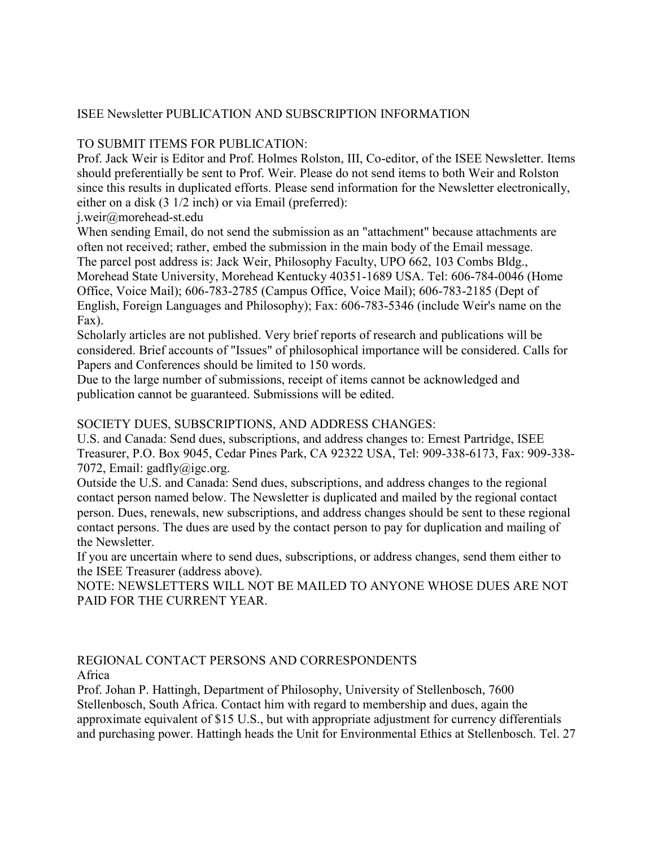## ISEE Newsletter PUBLICATION AND SUBSCRIPTION INFORMATION

## TO SUBMIT ITEMS FOR PUBLICATION:

Prof. Jack Weir is Editor and Prof. Holmes Rolston, III, Co-editor, of the ISEE Newsletter. Items should preferentially be sent to Prof. Weir. Please do not send items to both Weir and Rolston since this results in duplicated efforts. Please send information for the Newsletter electronically, either on a disk (3 1/2 inch) or via Email (preferred):

j.weir@morehead-st.edu

When sending Email, do not send the submission as an "attachment" because attachments are often not received; rather, embed the submission in the main body of the Email message. The parcel post address is: Jack Weir, Philosophy Faculty, UPO 662, 103 Combs Bldg., Morehead State University, Morehead Kentucky 40351-1689 USA. Tel: 606-784-0046 (Home Office, Voice Mail); 606-783-2785 (Campus Office, Voice Mail); 606-783-2185 (Dept of English, Foreign Languages and Philosophy); Fax: 606-783-5346 (include Weir's name on the Fax).

Scholarly articles are not published. Very brief reports of research and publications will be considered. Brief accounts of "Issues" of philosophical importance will be considered. Calls for Papers and Conferences should be limited to 150 words.

Due to the large number of submissions, receipt of items cannot be acknowledged and publication cannot be guaranteed. Submissions will be edited.

## SOCIETY DUES, SUBSCRIPTIONS, AND ADDRESS CHANGES:

U.S. and Canada: Send dues, subscriptions, and address changes to: Ernest Partridge, ISEE Treasurer, P.O. Box 9045, Cedar Pines Park, CA 92322 USA, Tel: 909-338-6173, Fax: 909-338- 7072, Email: gadfly@igc.org.

Outside the U.S. and Canada: Send dues, subscriptions, and address changes to the regional contact person named below. The Newsletter is duplicated and mailed by the regional contact person. Dues, renewals, new subscriptions, and address changes should be sent to these regional contact persons. The dues are used by the contact person to pay for duplication and mailing of the Newsletter.

If you are uncertain where to send dues, subscriptions, or address changes, send them either to the ISEE Treasurer (address above).

NOTE: NEWSLETTERS WILL NOT BE MAILED TO ANYONE WHOSE DUES ARE NOT PAID FOR THE CURRENT YEAR.

REGIONAL CONTACT PERSONS AND CORRESPONDENTS Africa

Prof. Johan P. Hattingh, Department of Philosophy, University of Stellenbosch, 7600 Stellenbosch, South Africa. Contact him with regard to membership and dues, again the approximate equivalent of \$15 U.S., but with appropriate adjustment for currency differentials and purchasing power. Hattingh heads the Unit for Environmental Ethics at Stellenbosch. Tel. 27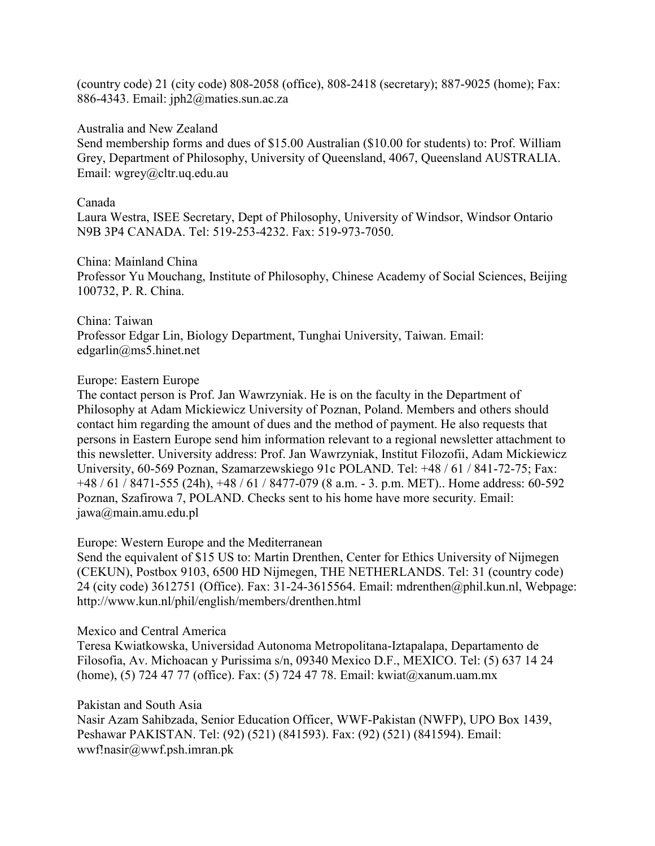(country code) 21 (city code) 808-2058 (office), 808-2418 (secretary); 887-9025 (home); Fax: 886-4343. Email: jph2@maties.sun.ac.za

#### Australia and New Zealand

Send membership forms and dues of \$15.00 Australian (\$10.00 for students) to: Prof. William Grey, Department of Philosophy, University of Queensland, 4067, Queensland AUSTRALIA. Email: wgrey@cltr.uq.edu.au

#### Canada

Laura Westra, ISEE Secretary, Dept of Philosophy, University of Windsor, Windsor Ontario N9B 3P4 CANADA. Tel: 519-253-4232. Fax: 519-973-7050.

#### China: Mainland China

Professor Yu Mouchang, Institute of Philosophy, Chinese Academy of Social Sciences, Beijing 100732, P. R. China.

## China: Taiwan Professor Edgar Lin, Biology Department, Tunghai University, Taiwan. Email: edgarlin@ms5.hinet.net

### Europe: Eastern Europe

The contact person is Prof. Jan Wawrzyniak. He is on the faculty in the Department of Philosophy at Adam Mickiewicz University of Poznan, Poland. Members and others should contact him regarding the amount of dues and the method of payment. He also requests that persons in Eastern Europe send him information relevant to a regional newsletter attachment to this newsletter. University address: Prof. Jan Wawrzyniak, Institut Filozofii, Adam Mickiewicz University, 60-569 Poznan, Szamarzewskiego 91c POLAND. Tel: +48 / 61 / 841-72-75; Fax: +48 / 61 / 8471-555 (24h), +48 / 61 / 8477-079 (8 a.m. - 3. p.m. MET).. Home address: 60-592 Poznan, Szafirowa 7, POLAND. Checks sent to his home have more security. Email: jawa@main.amu.edu.pl

### Europe: Western Europe and the Mediterranean

Send the equivalent of \$15 US to: Martin Drenthen, Center for Ethics University of Nijmegen (CEKUN), Postbox 9103, 6500 HD Nijmegen, THE NETHERLANDS. Tel: 31 (country code) 24 (city code) 3612751 (Office). Fax: 31-24-3615564. Email: mdrenthen@phil.kun.nl, Webpage: http://www.kun.nl/phil/english/members/drenthen.html

#### Mexico and Central America

Teresa Kwiatkowska, Universidad Autonoma Metropolitana-Iztapalapa, Departamento de Filosofia, Av. Michoacan y Purissima s/n, 09340 Mexico D.F., MEXICO. Tel: (5) 637 14 24 (home), (5) 724 47 77 (office). Fax: (5) 724 47 78. Email: kwiat@xanum.uam.mx

### Pakistan and South Asia

Nasir Azam Sahibzada, Senior Education Officer, WWF-Pakistan (NWFP), UPO Box 1439, Peshawar PAKISTAN. Tel: (92) (521) (841593). Fax: (92) (521) (841594). Email: wwf!nasir@wwf.psh.imran.pk